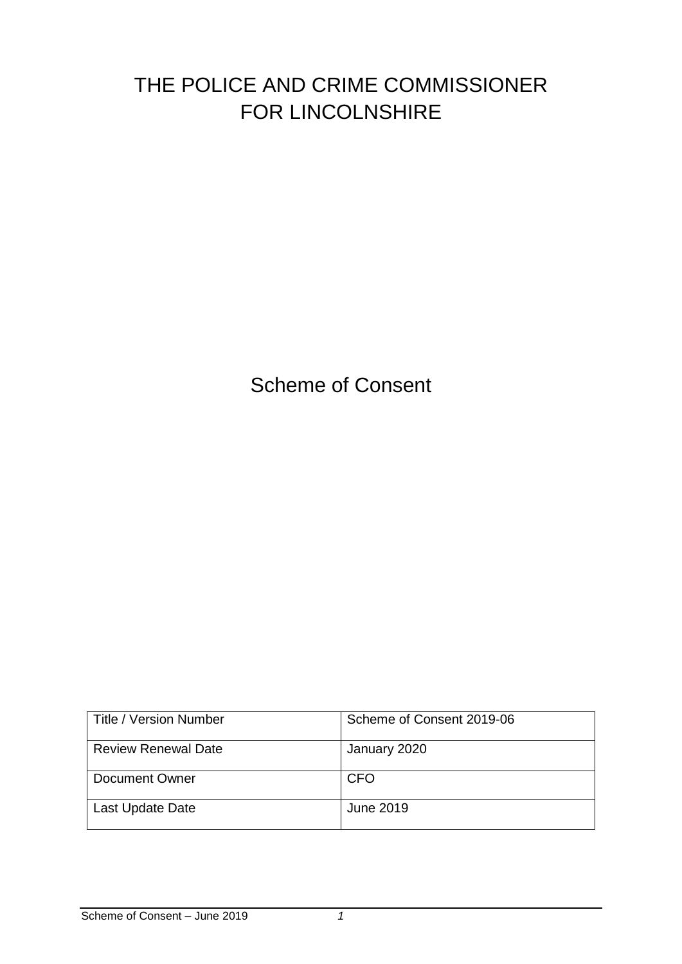# THE POLICE AND CRIME COMMISSIONER FOR LINCOLNSHIRE

Scheme of Consent

| l Title / Version Number   | Scheme of Consent 2019-06 |
|----------------------------|---------------------------|
| <b>Review Renewal Date</b> | January 2020              |
| Document Owner             | <b>CFO</b>                |
| Last Update Date           | June 2019                 |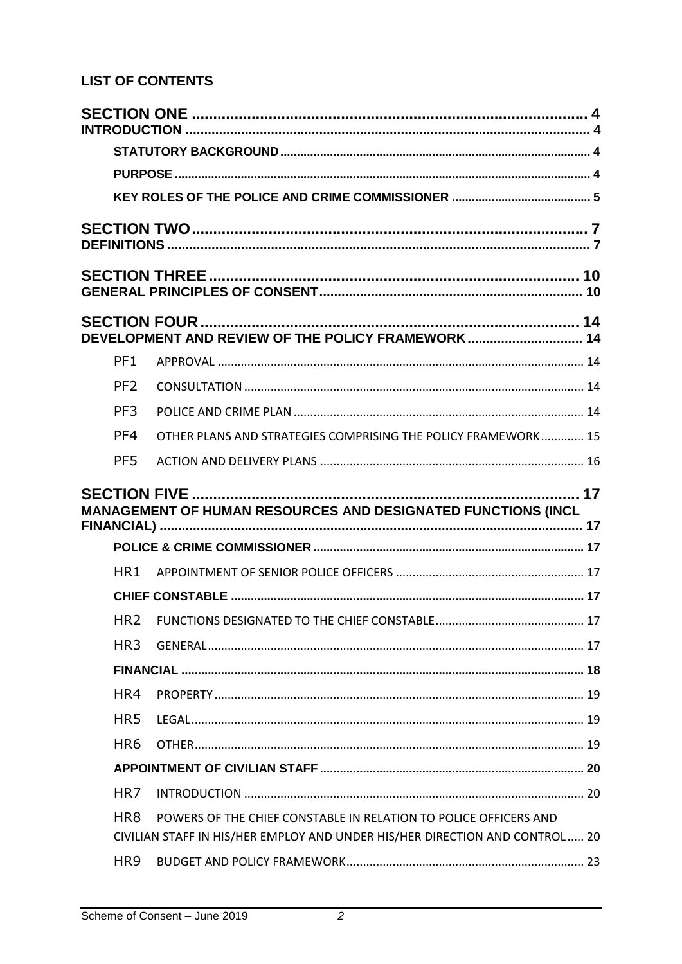## **LIST OF CONTENTS**

|  |                 | DEVELOPMENT AND REVIEW OF THE POLICY FRAMEWORK 14                                                                                               |  |
|--|-----------------|-------------------------------------------------------------------------------------------------------------------------------------------------|--|
|  | PF <sub>1</sub> |                                                                                                                                                 |  |
|  | PF <sub>2</sub> |                                                                                                                                                 |  |
|  | PF <sub>3</sub> |                                                                                                                                                 |  |
|  | PF4             | OTHER PLANS AND STRATEGIES COMPRISING THE POLICY FRAMEWORK 15                                                                                   |  |
|  | PF <sub>5</sub> |                                                                                                                                                 |  |
|  |                 | . 17<br>MANAGEMENT OF HUMAN RESOURCES AND DESIGNATED FUNCTIONS (INCL                                                                            |  |
|  |                 |                                                                                                                                                 |  |
|  | HR <sub>1</sub> |                                                                                                                                                 |  |
|  |                 |                                                                                                                                                 |  |
|  | HR <sub>2</sub> |                                                                                                                                                 |  |
|  | HR <sub>3</sub> |                                                                                                                                                 |  |
|  |                 |                                                                                                                                                 |  |
|  | HR4             |                                                                                                                                                 |  |
|  | HR <sub>5</sub> |                                                                                                                                                 |  |
|  | HR <sub>6</sub> |                                                                                                                                                 |  |
|  |                 |                                                                                                                                                 |  |
|  | HR <sub>7</sub> |                                                                                                                                                 |  |
|  | HR <sub>8</sub> | POWERS OF THE CHIEF CONSTABLE IN RELATION TO POLICE OFFICERS AND<br>CIVILIAN STAFF IN HIS/HER EMPLOY AND UNDER HIS/HER DIRECTION AND CONTROL 20 |  |
|  | HR <sub>9</sub> |                                                                                                                                                 |  |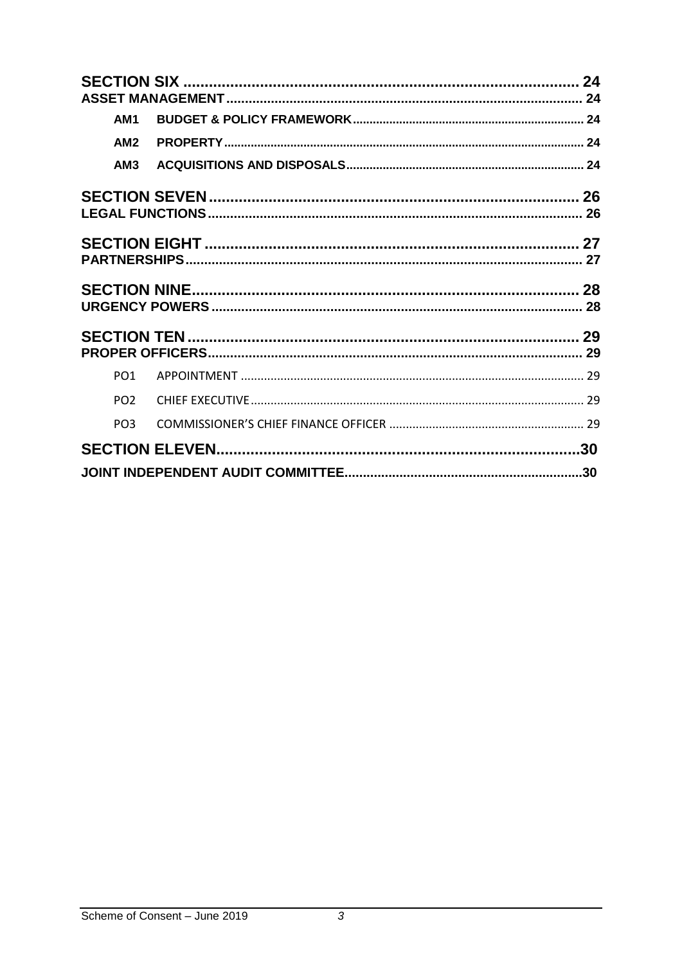|                 | 24 |
|-----------------|----|
|                 |    |
| AM <sub>1</sub> |    |
| AM2             |    |
| AM3             |    |
|                 |    |
|                 |    |
|                 |    |
|                 |    |
|                 |    |
|                 |    |
|                 |    |
|                 |    |
| PO <sub>1</sub> |    |
| PO <sub>2</sub> |    |
| PO <sub>3</sub> |    |
|                 |    |
|                 |    |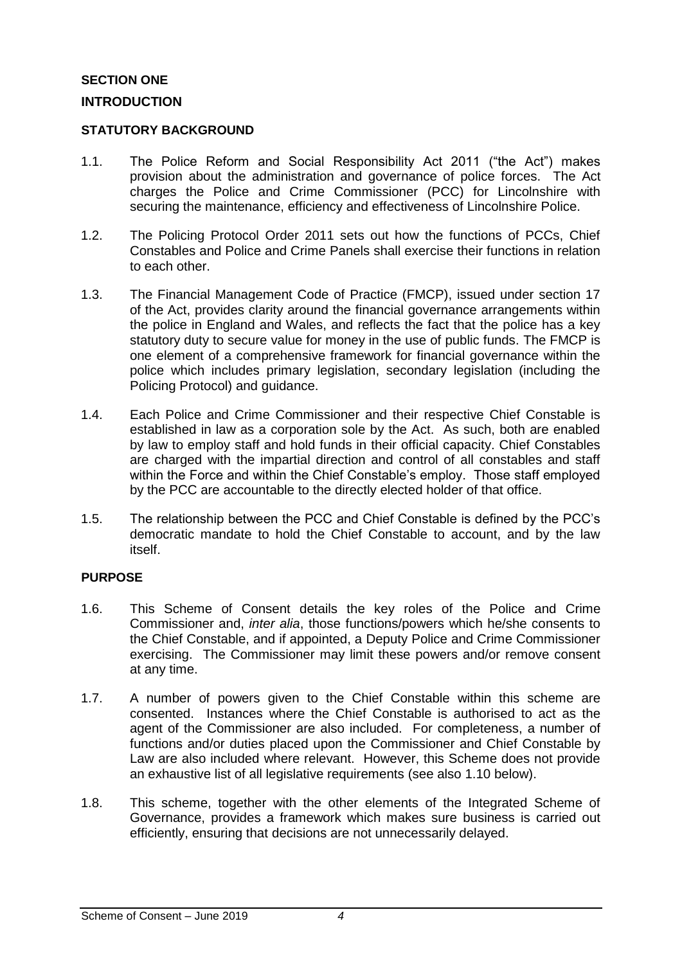## <span id="page-3-1"></span><span id="page-3-0"></span>**SECTION ONE INTRODUCTION**

#### <span id="page-3-2"></span>**STATUTORY BACKGROUND**

- 1.1. The Police Reform and Social Responsibility Act 2011 ("the Act") makes provision about the administration and governance of police forces. The Act charges the Police and Crime Commissioner (PCC) for Lincolnshire with securing the maintenance, efficiency and effectiveness of Lincolnshire Police.
- 1.2. The Policing Protocol Order 2011 sets out how the functions of PCCs, Chief Constables and Police and Crime Panels shall exercise their functions in relation to each other.
- 1.3. The Financial Management Code of Practice (FMCP), issued under section 17 of the Act, provides clarity around the financial governance arrangements within the police in England and Wales, and reflects the fact that the police has a key statutory duty to secure value for money in the use of public funds. The FMCP is one element of a comprehensive framework for financial governance within the police which includes primary legislation, secondary legislation (including the Policing Protocol) and guidance.
- 1.4. Each Police and Crime Commissioner and their respective Chief Constable is established in law as a corporation sole by the Act. As such, both are enabled by law to employ staff and hold funds in their official capacity. Chief Constables are charged with the impartial direction and control of all constables and staff within the Force and within the Chief Constable's employ. Those staff employed by the PCC are accountable to the directly elected holder of that office.
- 1.5. The relationship between the PCC and Chief Constable is defined by the PCC's democratic mandate to hold the Chief Constable to account, and by the law itself.

#### <span id="page-3-3"></span>**PURPOSE**

- 1.6. This Scheme of Consent details the key roles of the Police and Crime Commissioner and, *inter alia*, those functions/powers which he/she consents to the Chief Constable, and if appointed, a Deputy Police and Crime Commissioner exercising. The Commissioner may limit these powers and/or remove consent at any time.
- 1.7. A number of powers given to the Chief Constable within this scheme are consented. Instances where the Chief Constable is authorised to act as the agent of the Commissioner are also included. For completeness, a number of functions and/or duties placed upon the Commissioner and Chief Constable by Law are also included where relevant. However, this Scheme does not provide an exhaustive list of all legislative requirements (see also 1.10 below).
- 1.8. This scheme, together with the other elements of the Integrated Scheme of Governance, provides a framework which makes sure business is carried out efficiently, ensuring that decisions are not unnecessarily delayed.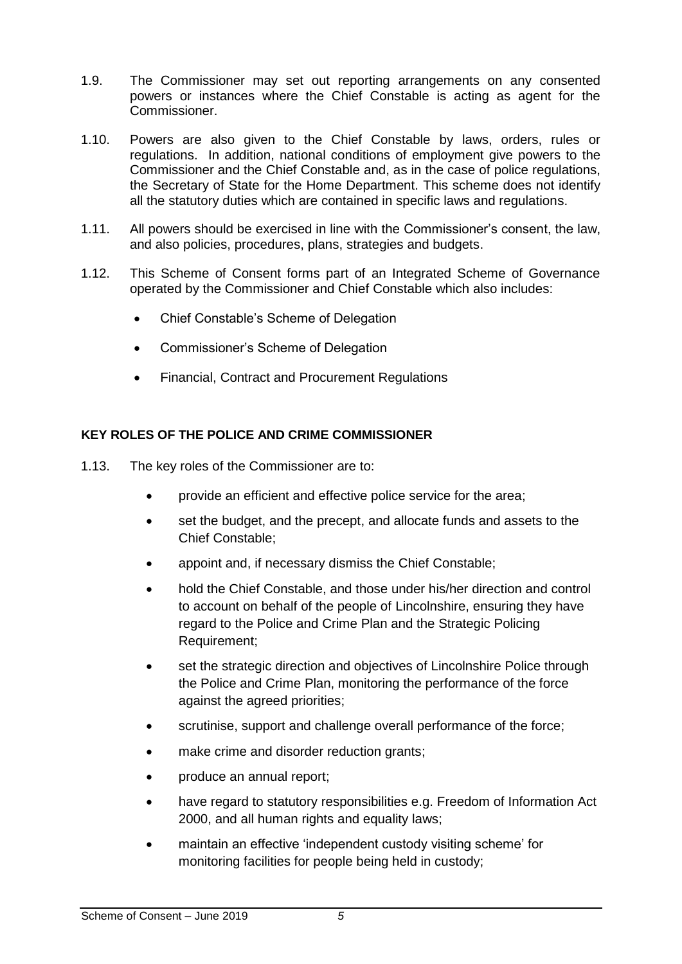- 1.9. The Commissioner may set out reporting arrangements on any consented powers or instances where the Chief Constable is acting as agent for the Commissioner.
- 1.10. Powers are also given to the Chief Constable by laws, orders, rules or regulations. In addition, national conditions of employment give powers to the Commissioner and the Chief Constable and, as in the case of police regulations, the Secretary of State for the Home Department. This scheme does not identify all the statutory duties which are contained in specific laws and regulations.
- 1.11. All powers should be exercised in line with the Commissioner's consent, the law, and also policies, procedures, plans, strategies and budgets.
- 1.12. This Scheme of Consent forms part of an Integrated Scheme of Governance operated by the Commissioner and Chief Constable which also includes:
	- Chief Constable's Scheme of Delegation
	- Commissioner's Scheme of Delegation
	- Financial, Contract and Procurement Regulations

## <span id="page-4-0"></span>**KEY ROLES OF THE POLICE AND CRIME COMMISSIONER**

- 1.13. The key roles of the Commissioner are to:
	- provide an efficient and effective police service for the area;
	- set the budget, and the precept, and allocate funds and assets to the Chief Constable;
	- appoint and, if necessary dismiss the Chief Constable;
	- hold the Chief Constable, and those under his/her direction and control to account on behalf of the people of Lincolnshire, ensuring they have regard to the Police and Crime Plan and the Strategic Policing Requirement;
	- set the strategic direction and objectives of Lincolnshire Police through the Police and Crime Plan, monitoring the performance of the force against the agreed priorities;
	- scrutinise, support and challenge overall performance of the force;
	- make crime and disorder reduction grants:
	- produce an annual report;
	- have regard to statutory responsibilities e.g. Freedom of Information Act 2000, and all human rights and equality laws;
	- maintain an effective 'independent custody visiting scheme' for monitoring facilities for people being held in custody;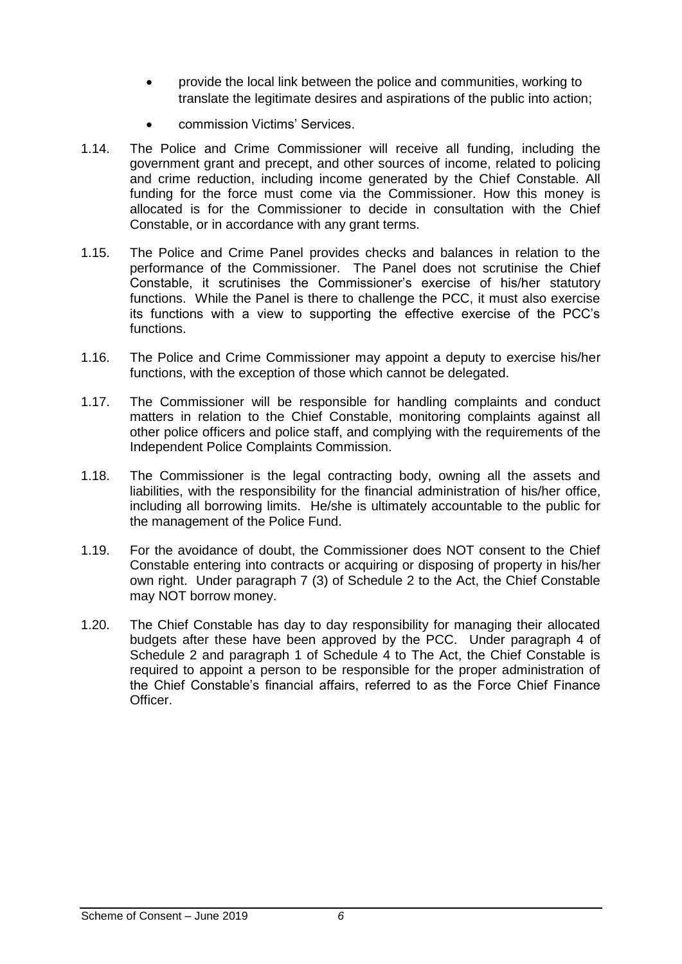- provide the local link between the police and communities, working to translate the legitimate desires and aspirations of the public into action;
- commission Victims' Services.
- 1.14. The Police and Crime Commissioner will receive all funding, including the government grant and precept, and other sources of income, related to policing and crime reduction, including income generated by the Chief Constable. All funding for the force must come via the Commissioner. How this money is allocated is for the Commissioner to decide in consultation with the Chief Constable, or in accordance with any grant terms.
- 1.15. The Police and Crime Panel provides checks and balances in relation to the performance of the Commissioner. The Panel does not scrutinise the Chief Constable, it scrutinises the Commissioner's exercise of his/her statutory functions. While the Panel is there to challenge the PCC, it must also exercise its functions with a view to supporting the effective exercise of the PCC's functions.
- 1.16. The Police and Crime Commissioner may appoint a deputy to exercise his/her functions, with the exception of those which cannot be delegated.
- 1.17. The Commissioner will be responsible for handling complaints and conduct matters in relation to the Chief Constable, monitoring complaints against all other police officers and police staff, and complying with the requirements of the Independent Police Complaints Commission.
- 1.18. The Commissioner is the legal contracting body, owning all the assets and liabilities, with the responsibility for the financial administration of his/her office, including all borrowing limits. He/she is ultimately accountable to the public for the management of the Police Fund.
- 1.19. For the avoidance of doubt, the Commissioner does NOT consent to the Chief Constable entering into contracts or acquiring or disposing of property in his/her own right. Under paragraph 7 (3) of Schedule 2 to the Act, the Chief Constable may NOT borrow money.
- 1.20. The Chief Constable has day to day responsibility for managing their allocated budgets after these have been approved by the PCC. Under paragraph 4 of Schedule 2 and paragraph 1 of Schedule 4 to The Act, the Chief Constable is required to appoint a person to be responsible for the proper administration of the Chief Constable's financial affairs, referred to as the Force Chief Finance Officer.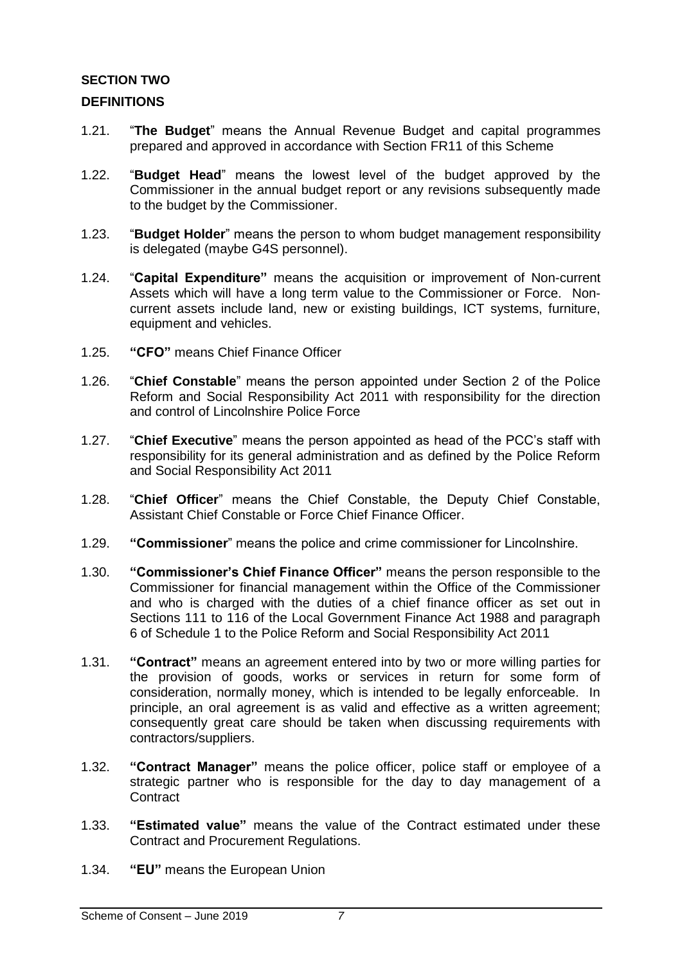## <span id="page-6-0"></span>**SECTION TWO**

## <span id="page-6-1"></span>**DEFINITIONS**

- 1.21. "**The Budget**" means the Annual Revenue Budget and capital programmes prepared and approved in accordance with Section FR11 of this Scheme
- 1.22. "**Budget Head**" means the lowest level of the budget approved by the Commissioner in the annual budget report or any revisions subsequently made to the budget by the Commissioner.
- 1.23. "**Budget Holder**" means the person to whom budget management responsibility is delegated (maybe G4S personnel).
- 1.24. "**Capital Expenditure"** means the acquisition or improvement of Non-current Assets which will have a long term value to the Commissioner or Force. Noncurrent assets include land, new or existing buildings, ICT systems, furniture, equipment and vehicles.
- 1.25. **"CFO"** means Chief Finance Officer
- 1.26. "**Chief Constable**" means the person appointed under Section 2 of the Police Reform and Social Responsibility Act 2011 with responsibility for the direction and control of Lincolnshire Police Force
- 1.27. "**Chief Executive**" means the person appointed as head of the PCC's staff with responsibility for its general administration and as defined by the Police Reform and Social Responsibility Act 2011
- 1.28. "**Chief Officer**" means the Chief Constable, the Deputy Chief Constable, Assistant Chief Constable or Force Chief Finance Officer.
- 1.29. **"Commissioner**" means the police and crime commissioner for Lincolnshire.
- 1.30. **"Commissioner's Chief Finance Officer"** means the person responsible to the Commissioner for financial management within the Office of the Commissioner and who is charged with the duties of a chief finance officer as set out in Sections 111 to 116 of the Local Government Finance Act 1988 and paragraph 6 of Schedule 1 to the Police Reform and Social Responsibility Act 2011
- 1.31. **"Contract"** means an agreement entered into by two or more willing parties for the provision of goods, works or services in return for some form of consideration, normally money, which is intended to be legally enforceable. In principle, an oral agreement is as valid and effective as a written agreement; consequently great care should be taken when discussing requirements with contractors/suppliers.
- 1.32. **"Contract Manager"** means the police officer, police staff or employee of a strategic partner who is responsible for the day to day management of a **Contract**
- 1.33. **"Estimated value"** means the value of the Contract estimated under these Contract and Procurement Regulations.
- 1.34. **"EU"** means the European Union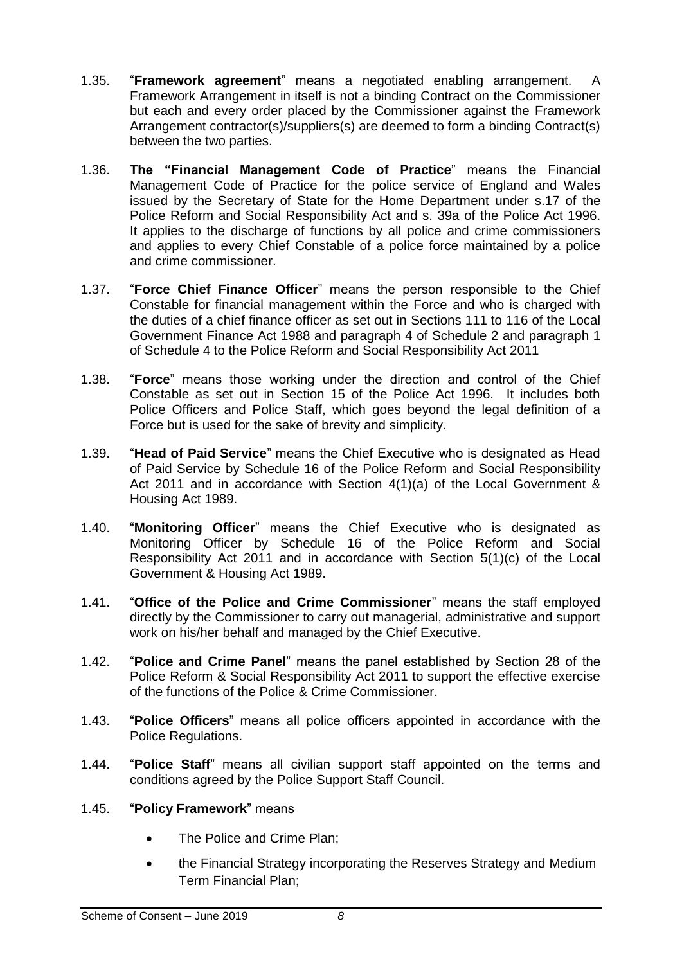- 1.35. "**Framework agreement**" means a negotiated enabling arrangement. A Framework Arrangement in itself is not a binding Contract on the Commissioner but each and every order placed by the Commissioner against the Framework Arrangement contractor(s)/suppliers(s) are deemed to form a binding Contract(s) between the two parties.
- 1.36. **The "Financial Management Code of Practice**" means the Financial Management Code of Practice for the police service of England and Wales issued by the Secretary of State for the Home Department under s.17 of the Police Reform and Social Responsibility Act and s. 39a of the Police Act 1996. It applies to the discharge of functions by all police and crime commissioners and applies to every Chief Constable of a police force maintained by a police and crime commissioner.
- 1.37. "**Force Chief Finance Officer**" means the person responsible to the Chief Constable for financial management within the Force and who is charged with the duties of a chief finance officer as set out in Sections 111 to 116 of the Local Government Finance Act 1988 and paragraph 4 of Schedule 2 and paragraph 1 of Schedule 4 to the Police Reform and Social Responsibility Act 2011
- 1.38. "**Force**" means those working under the direction and control of the Chief Constable as set out in Section 15 of the Police Act 1996. It includes both Police Officers and Police Staff, which goes beyond the legal definition of a Force but is used for the sake of brevity and simplicity.
- 1.39. "**Head of Paid Service**" means the Chief Executive who is designated as Head of Paid Service by Schedule 16 of the Police Reform and Social Responsibility Act 2011 and in accordance with Section 4(1)(a) of the Local Government & Housing Act 1989.
- 1.40. "**Monitoring Officer**" means the Chief Executive who is designated as Monitoring Officer by Schedule 16 of the Police Reform and Social Responsibility Act 2011 and in accordance with Section 5(1)(c) of the Local Government & Housing Act 1989.
- 1.41. "**Office of the Police and Crime Commissioner**" means the staff employed directly by the Commissioner to carry out managerial, administrative and support work on his/her behalf and managed by the Chief Executive.
- 1.42. "**Police and Crime Panel**" means the panel established by Section 28 of the Police Reform & Social Responsibility Act 2011 to support the effective exercise of the functions of the Police & Crime Commissioner.
- 1.43. "**Police Officers**" means all police officers appointed in accordance with the Police Regulations.
- 1.44. "**Police Staff**" means all civilian support staff appointed on the terms and conditions agreed by the Police Support Staff Council.

## 1.45. "**Policy Framework**" means

- The Police and Crime Plan;
- the Financial Strategy incorporating the Reserves Strategy and Medium Term Financial Plan;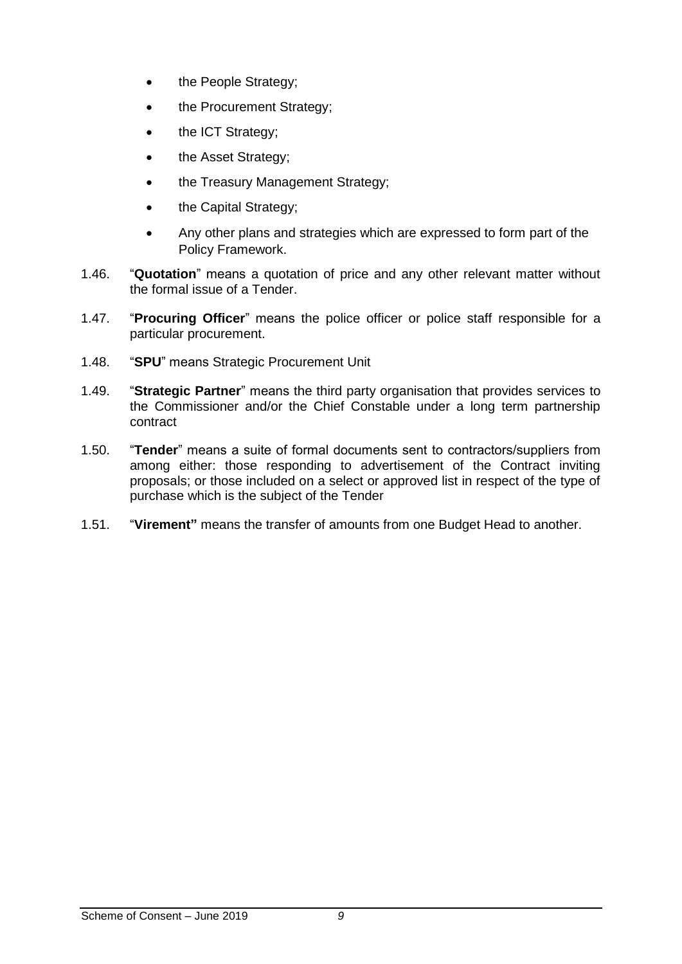- the People Strategy;
- the Procurement Strategy;
- the ICT Strategy;
- the Asset Strategy;
- the Treasury Management Strategy;
- the Capital Strategy;
- Any other plans and strategies which are expressed to form part of the Policy Framework.
- 1.46. "**Quotation**" means a quotation of price and any other relevant matter without the formal issue of a Tender.
- 1.47. "**Procuring Officer**" means the police officer or police staff responsible for a particular procurement.
- 1.48. "**SPU**" means Strategic Procurement Unit
- 1.49. "**Strategic Partner**" means the third party organisation that provides services to the Commissioner and/or the Chief Constable under a long term partnership contract
- 1.50. "**Tender**" means a suite of formal documents sent to contractors/suppliers from among either: those responding to advertisement of the Contract inviting proposals; or those included on a select or approved list in respect of the type of purchase which is the subject of the Tender
- 1.51. "**Virement"** means the transfer of amounts from one Budget Head to another.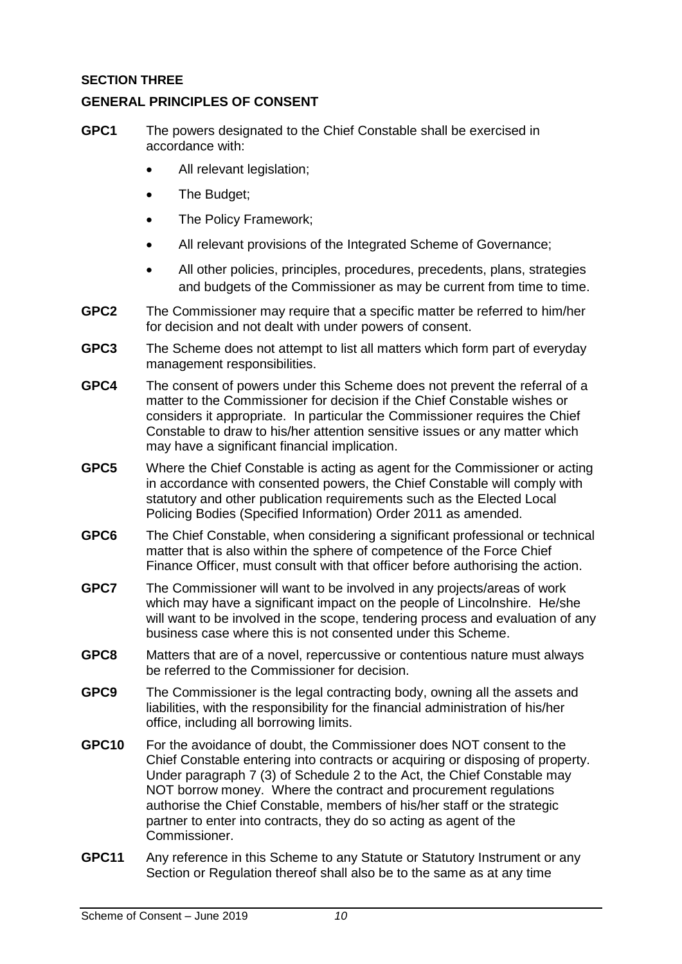## <span id="page-9-0"></span>**SECTION THREE**

## <span id="page-9-1"></span>**GENERAL PRINCIPLES OF CONSENT**

- **GPC1** The powers designated to the Chief Constable shall be exercised in accordance with:
	- All relevant legislation;
	- The Budget;
	- The Policy Framework;
	- All relevant provisions of the Integrated Scheme of Governance;
	- All other policies, principles, procedures, precedents, plans, strategies and budgets of the Commissioner as may be current from time to time.
- **GPC2** The Commissioner may require that a specific matter be referred to him/her for decision and not dealt with under powers of consent.
- **GPC3** The Scheme does not attempt to list all matters which form part of everyday management responsibilities.
- **GPC4** The consent of powers under this Scheme does not prevent the referral of a matter to the Commissioner for decision if the Chief Constable wishes or considers it appropriate. In particular the Commissioner requires the Chief Constable to draw to his/her attention sensitive issues or any matter which may have a significant financial implication.
- **GPC5** Where the Chief Constable is acting as agent for the Commissioner or acting in accordance with consented powers, the Chief Constable will comply with statutory and other publication requirements such as the Elected Local Policing Bodies (Specified Information) Order 2011 as amended.
- **GPC6** The Chief Constable, when considering a significant professional or technical matter that is also within the sphere of competence of the Force Chief Finance Officer, must consult with that officer before authorising the action.
- **GPC7** The Commissioner will want to be involved in any projects/areas of work which may have a significant impact on the people of Lincolnshire. He/she will want to be involved in the scope, tendering process and evaluation of any business case where this is not consented under this Scheme.
- **GPC8** Matters that are of a novel, repercussive or contentious nature must always be referred to the Commissioner for decision.
- **GPC9** The Commissioner is the legal contracting body, owning all the assets and liabilities, with the responsibility for the financial administration of his/her office, including all borrowing limits.
- **GPC10** For the avoidance of doubt, the Commissioner does NOT consent to the Chief Constable entering into contracts or acquiring or disposing of property. Under paragraph 7 (3) of Schedule 2 to the Act, the Chief Constable may NOT borrow money. Where the contract and procurement regulations authorise the Chief Constable, members of his/her staff or the strategic partner to enter into contracts, they do so acting as agent of the Commissioner.
- **GPC11** Any reference in this Scheme to any Statute or Statutory Instrument or any Section or Regulation thereof shall also be to the same as at any time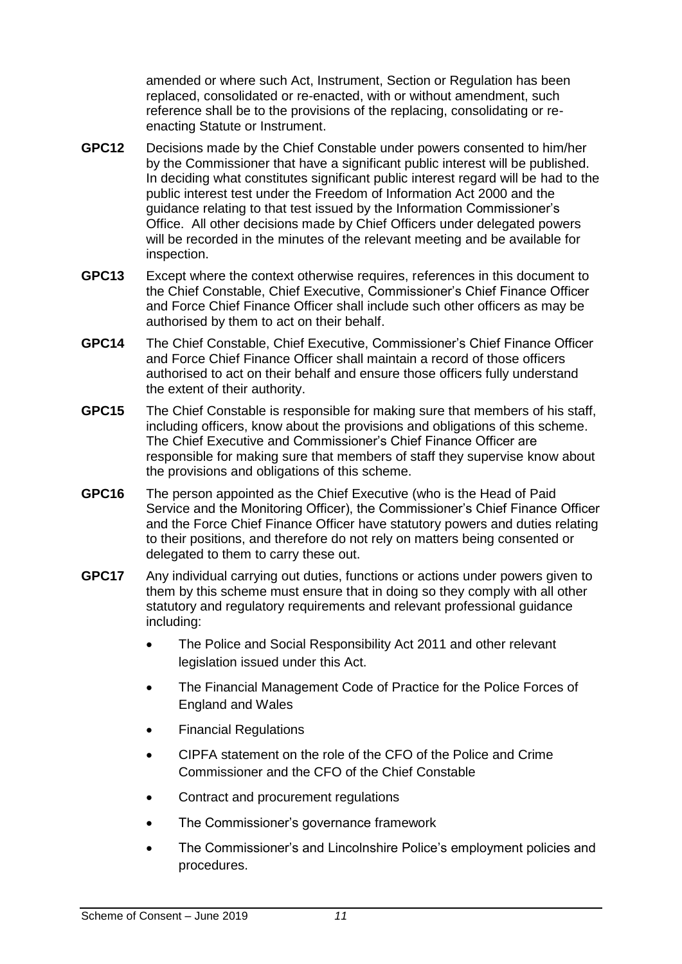amended or where such Act, Instrument, Section or Regulation has been replaced, consolidated or re-enacted, with or without amendment, such reference shall be to the provisions of the replacing, consolidating or reenacting Statute or Instrument.

- **GPC12** Decisions made by the Chief Constable under powers consented to him/her by the Commissioner that have a significant public interest will be published. In deciding what constitutes significant public interest regard will be had to the public interest test under the Freedom of Information Act 2000 and the guidance relating to that test issued by the Information Commissioner's Office. All other decisions made by Chief Officers under delegated powers will be recorded in the minutes of the relevant meeting and be available for inspection.
- **GPC13** Except where the context otherwise requires, references in this document to the Chief Constable, Chief Executive, Commissioner's Chief Finance Officer and Force Chief Finance Officer shall include such other officers as may be authorised by them to act on their behalf.
- **GPC14** The Chief Constable, Chief Executive, Commissioner's Chief Finance Officer and Force Chief Finance Officer shall maintain a record of those officers authorised to act on their behalf and ensure those officers fully understand the extent of their authority.
- **GPC15** The Chief Constable is responsible for making sure that members of his staff, including officers, know about the provisions and obligations of this scheme. The Chief Executive and Commissioner's Chief Finance Officer are responsible for making sure that members of staff they supervise know about the provisions and obligations of this scheme.
- **GPC16** The person appointed as the Chief Executive (who is the Head of Paid Service and the Monitoring Officer), the Commissioner's Chief Finance Officer and the Force Chief Finance Officer have statutory powers and duties relating to their positions, and therefore do not rely on matters being consented or delegated to them to carry these out.
- **GPC17** Any individual carrying out duties, functions or actions under powers given to them by this scheme must ensure that in doing so they comply with all other statutory and regulatory requirements and relevant professional guidance including:
	- The Police and Social Responsibility Act 2011 and other relevant legislation issued under this Act.
	- The Financial Management Code of Practice for the Police Forces of England and Wales
	- Financial Regulations
	- CIPFA statement on the role of the CFO of the Police and Crime Commissioner and the CFO of the Chief Constable
	- Contract and procurement regulations
	- The Commissioner's governance framework
	- The Commissioner's and Lincolnshire Police's employment policies and procedures.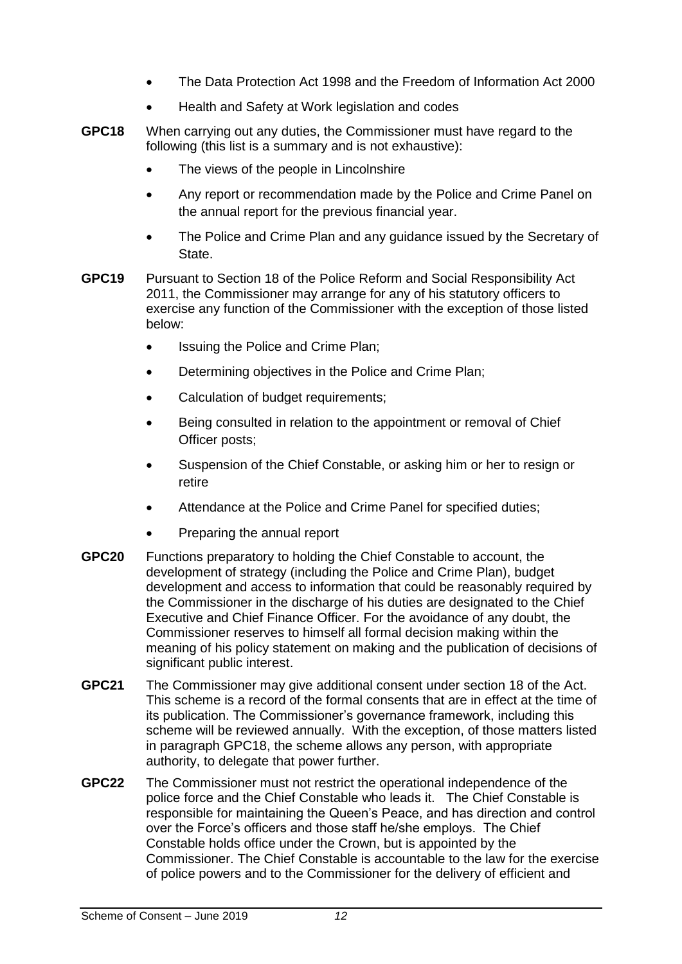- The Data Protection Act 1998 and the Freedom of Information Act 2000
- Health and Safety at Work legislation and codes
- **GPC18** When carrying out any duties, the Commissioner must have regard to the following (this list is a summary and is not exhaustive):
	- The views of the people in Lincolnshire
	- Any report or recommendation made by the Police and Crime Panel on the annual report for the previous financial year.
	- The Police and Crime Plan and any guidance issued by the Secretary of State.
- **GPC19** Pursuant to Section 18 of the Police Reform and Social Responsibility Act 2011, the Commissioner may arrange for any of his statutory officers to exercise any function of the Commissioner with the exception of those listed below:
	- Issuing the Police and Crime Plan;
	- Determining objectives in the Police and Crime Plan;
	- Calculation of budget requirements;
	- Being consulted in relation to the appointment or removal of Chief Officer posts;
	- Suspension of the Chief Constable, or asking him or her to resign or retire
	- Attendance at the Police and Crime Panel for specified duties;
	- Preparing the annual report
- **GPC20** Functions preparatory to holding the Chief Constable to account, the development of strategy (including the Police and Crime Plan), budget development and access to information that could be reasonably required by the Commissioner in the discharge of his duties are designated to the Chief Executive and Chief Finance Officer. For the avoidance of any doubt, the Commissioner reserves to himself all formal decision making within the meaning of his policy statement on making and the publication of decisions of significant public interest.
- **GPC21** The Commissioner may give additional consent under section 18 of the Act. This scheme is a record of the formal consents that are in effect at the time of its publication. The Commissioner's governance framework, including this scheme will be reviewed annually. With the exception, of those matters listed in paragraph GPC18, the scheme allows any person, with appropriate authority, to delegate that power further.
- **GPC22** The Commissioner must not restrict the operational independence of the police force and the Chief Constable who leads it. The Chief Constable is responsible for maintaining the Queen's Peace, and has direction and control over the Force's officers and those staff he/she employs. The Chief Constable holds office under the Crown, but is appointed by the Commissioner. The Chief Constable is accountable to the law for the exercise of police powers and to the Commissioner for the delivery of efficient and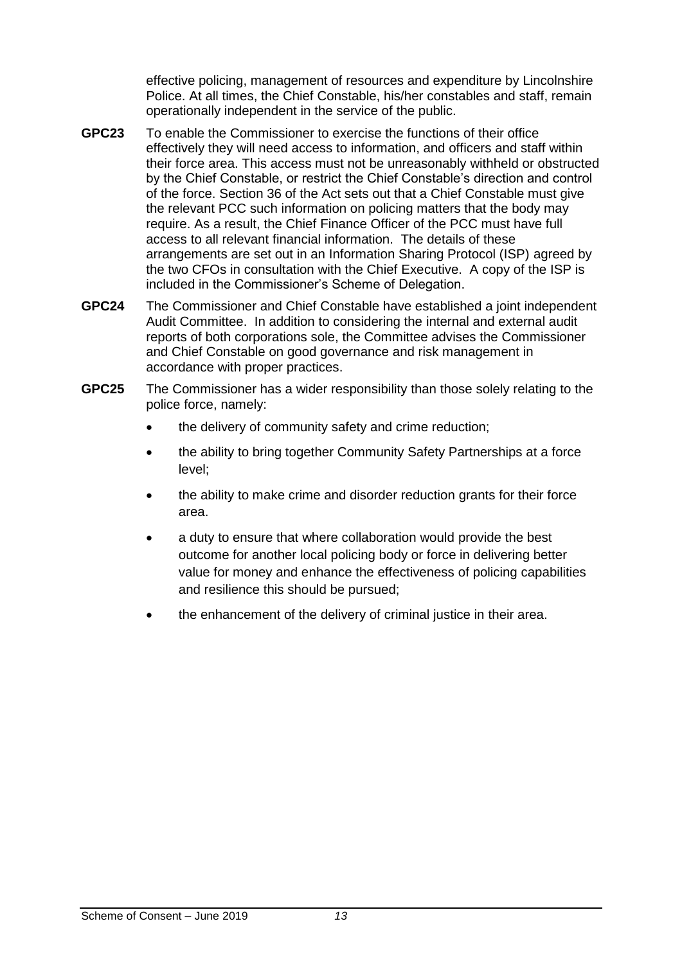effective policing, management of resources and expenditure by Lincolnshire Police. At all times, the Chief Constable, his/her constables and staff, remain operationally independent in the service of the public.

- **GPC23** To enable the Commissioner to exercise the functions of their office effectively they will need access to information, and officers and staff within their force area. This access must not be unreasonably withheld or obstructed by the Chief Constable, or restrict the Chief Constable's direction and control of the force. Section 36 of the Act sets out that a Chief Constable must give the relevant PCC such information on policing matters that the body may require. As a result, the Chief Finance Officer of the PCC must have full access to all relevant financial information. The details of these arrangements are set out in an Information Sharing Protocol (ISP) agreed by the two CFOs in consultation with the Chief Executive. A copy of the ISP is included in the Commissioner's Scheme of Delegation.
- **GPC24** The Commissioner and Chief Constable have established a joint independent Audit Committee. In addition to considering the internal and external audit reports of both corporations sole, the Committee advises the Commissioner and Chief Constable on good governance and risk management in accordance with proper practices.
- **GPC25** The Commissioner has a wider responsibility than those solely relating to the police force, namely:
	- the delivery of community safety and crime reduction;
	- the ability to bring together Community Safety Partnerships at a force level;
	- the ability to make crime and disorder reduction grants for their force area.
	- a duty to ensure that where collaboration would provide the best outcome for another local policing body or force in delivering better value for money and enhance the effectiveness of policing capabilities and resilience this should be pursued;
	- the enhancement of the delivery of criminal justice in their area.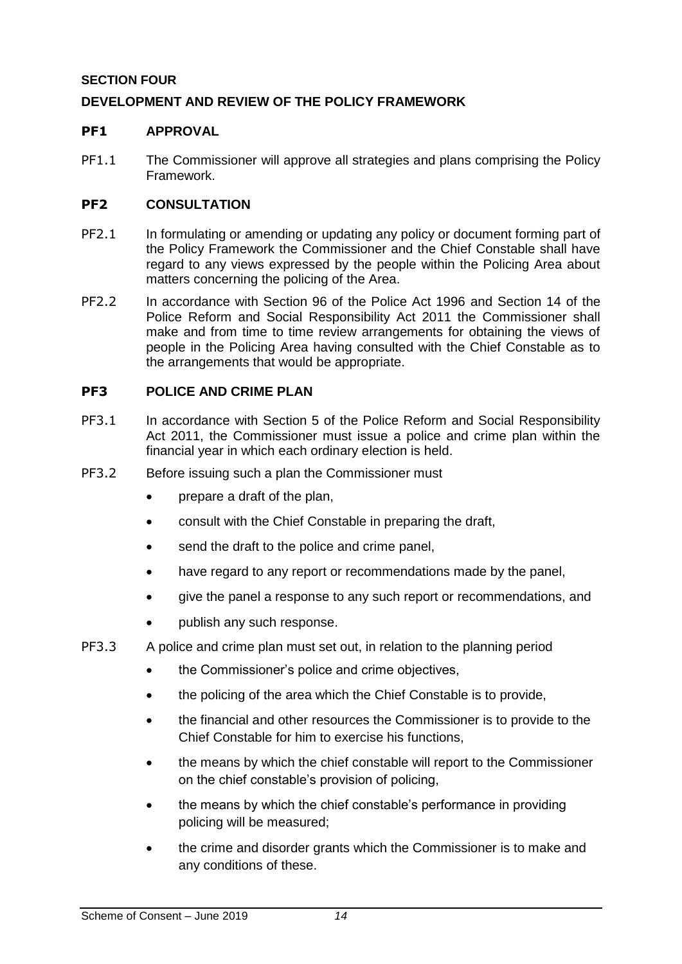## <span id="page-13-0"></span>**SECTION FOUR**

## <span id="page-13-1"></span>**DEVELOPMENT AND REVIEW OF THE POLICY FRAMEWORK**

#### <span id="page-13-2"></span>**PF1 APPROVAL**

PF1.1 The Commissioner will approve all strategies and plans comprising the Policy Framework.

#### <span id="page-13-3"></span>**PF2 CONSULTATION**

- PF2.1 In formulating or amending or updating any policy or document forming part of the Policy Framework the Commissioner and the Chief Constable shall have regard to any views expressed by the people within the Policing Area about matters concerning the policing of the Area.
- PF2.2 In accordance with Section 96 of the Police Act 1996 and Section 14 of the Police Reform and Social Responsibility Act 2011 the Commissioner shall make and from time to time review arrangements for obtaining the views of people in the Policing Area having consulted with the Chief Constable as to the arrangements that would be appropriate.

#### <span id="page-13-4"></span>**PF3 POLICE AND CRIME PLAN**

- PF3.1 In accordance with Section 5 of the Police Reform and Social Responsibility Act 2011, the Commissioner must issue a police and crime plan within the financial year in which each ordinary election is held.
- PF3.2 Before issuing such a plan the Commissioner must
	- prepare a draft of the plan,
	- consult with the Chief Constable in preparing the draft,
	- send the draft to the police and crime panel,
	- have regard to any report or recommendations made by the panel,
	- give the panel a response to any such report or recommendations, and
	- publish any such response.
- PF3.3 A police and crime plan must set out, in relation to the planning period
	- the Commissioner's police and crime objectives,
	- the policing of the area which the Chief Constable is to provide,
	- the financial and other resources the Commissioner is to provide to the Chief Constable for him to exercise his functions,
	- the means by which the chief constable will report to the Commissioner on the chief constable's provision of policing,
	- the means by which the chief constable's performance in providing policing will be measured;
	- the crime and disorder grants which the Commissioner is to make and any conditions of these.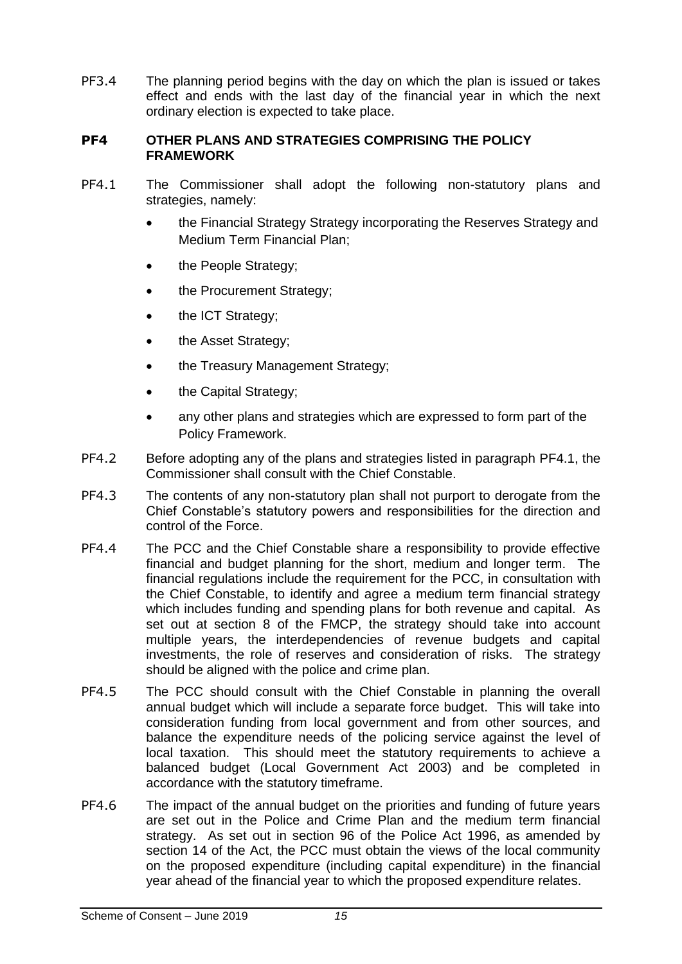PF3.4 The planning period begins with the day on which the plan is issued or takes effect and ends with the last day of the financial year in which the next ordinary election is expected to take place.

#### <span id="page-14-0"></span>**PF4 OTHER PLANS AND STRATEGIES COMPRISING THE POLICY FRAMEWORK**

- <span id="page-14-1"></span>PF4.1 The Commissioner shall adopt the following non-statutory plans and strategies, namely:
	- the Financial Strategy Strategy incorporating the Reserves Strategy and Medium Term Financial Plan;
	- the People Strategy;
	- the Procurement Strategy;
	- the ICT Strategy;
	- the Asset Strategy:
	- the Treasury Management Strategy;
	- the Capital Strategy;
	- any other plans and strategies which are expressed to form part of the Policy Framework.
- PF4.2 Before adopting any of the plans and strategies listed in paragraph [PF4.1,](#page-14-1) the Commissioner shall consult with the Chief Constable.
- PF4.3 The contents of any non-statutory plan shall not purport to derogate from the Chief Constable's statutory powers and responsibilities for the direction and control of the Force.
- PF4.4 The PCC and the Chief Constable share a responsibility to provide effective financial and budget planning for the short, medium and longer term. The financial regulations include the requirement for the PCC, in consultation with the Chief Constable, to identify and agree a medium term financial strategy which includes funding and spending plans for both revenue and capital. As set out at section 8 of the FMCP, the strategy should take into account multiple years, the interdependencies of revenue budgets and capital investments, the role of reserves and consideration of risks. The strategy should be aligned with the police and crime plan.
- PF4.5 The PCC should consult with the Chief Constable in planning the overall annual budget which will include a separate force budget. This will take into consideration funding from local government and from other sources, and balance the expenditure needs of the policing service against the level of local taxation. This should meet the statutory requirements to achieve a balanced budget (Local Government Act 2003) and be completed in accordance with the statutory timeframe.
- PF4.6 The impact of the annual budget on the priorities and funding of future years are set out in the Police and Crime Plan and the medium term financial strategy. As set out in section 96 of the Police Act 1996, as amended by section 14 of the Act, the PCC must obtain the views of the local community on the proposed expenditure (including capital expenditure) in the financial year ahead of the financial year to which the proposed expenditure relates.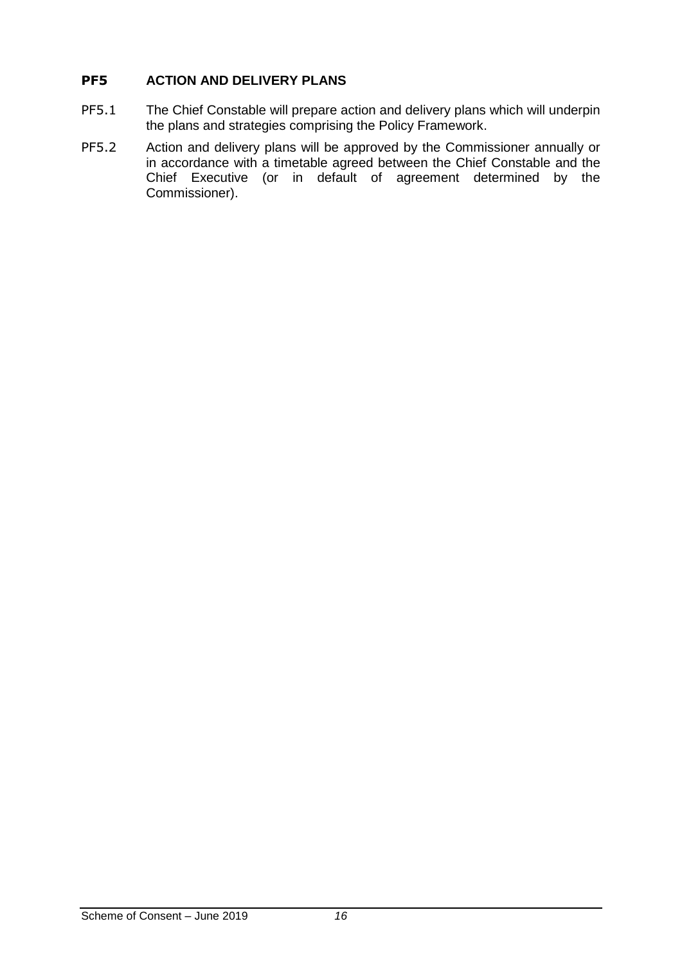## <span id="page-15-0"></span>**PF5 ACTION AND DELIVERY PLANS**

- PF5.1 The Chief Constable will prepare action and delivery plans which will underpin the plans and strategies comprising the Policy Framework.
- PF5.2 Action and delivery plans will be approved by the Commissioner annually or in accordance with a timetable agreed between the Chief Constable and the Chief Executive (or in default of agreement determined by the Commissioner).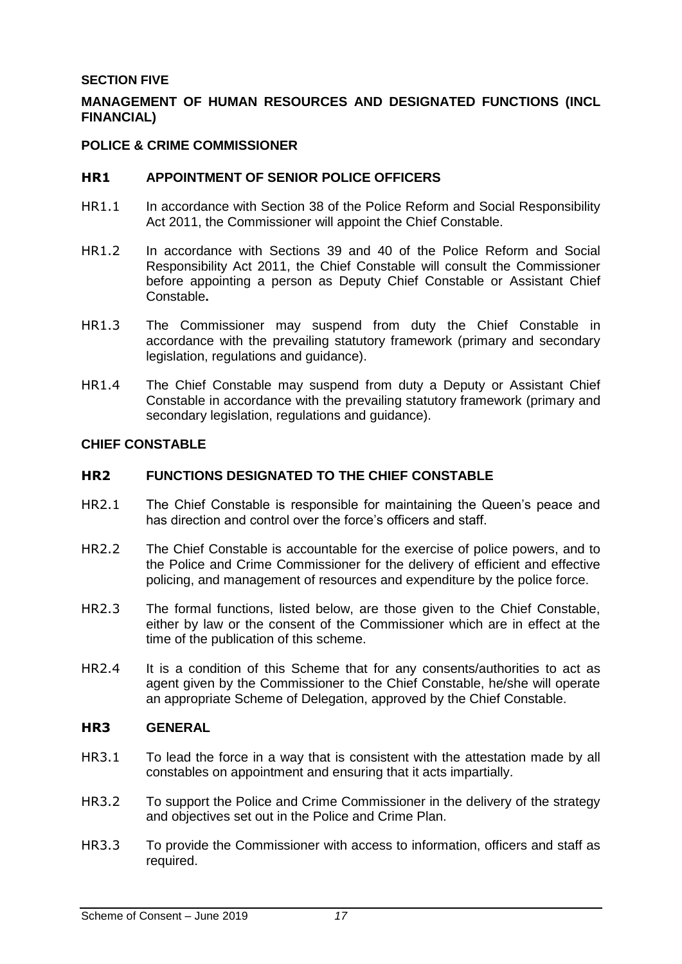#### <span id="page-16-0"></span>**SECTION FIVE**

## <span id="page-16-1"></span>**MANAGEMENT OF HUMAN RESOURCES AND DESIGNATED FUNCTIONS (INCL FINANCIAL)**

#### <span id="page-16-2"></span>**POLICE & CRIME COMMISSIONER**

#### <span id="page-16-3"></span>**HR1 APPOINTMENT OF SENIOR POLICE OFFICERS**

- HR1.1 In accordance with Section 38 of the Police Reform and Social Responsibility Act 2011, the Commissioner will appoint the Chief Constable.
- HR1.2 In accordance with Sections 39 and 40 of the Police Reform and Social Responsibility Act 2011, the Chief Constable will consult the Commissioner before appointing a person as Deputy Chief Constable or Assistant Chief Constable**.**
- HR1.3 The Commissioner may suspend from duty the Chief Constable in accordance with the prevailing statutory framework (primary and secondary legislation, regulations and guidance).
- HR1.4 The Chief Constable may suspend from duty a Deputy or Assistant Chief Constable in accordance with the prevailing statutory framework (primary and secondary legislation, regulations and guidance).

#### <span id="page-16-4"></span>**CHIEF CONSTABLE**

#### <span id="page-16-5"></span>**HR2 FUNCTIONS DESIGNATED TO THE CHIEF CONSTABLE**

- HR2.1 The Chief Constable is responsible for maintaining the Queen's peace and has direction and control over the force's officers and staff.
- HR2.2 The Chief Constable is accountable for the exercise of police powers, and to the Police and Crime Commissioner for the delivery of efficient and effective policing, and management of resources and expenditure by the police force.
- HR2.3 The formal functions, listed below, are those given to the Chief Constable, either by law or the consent of the Commissioner which are in effect at the time of the publication of this scheme.
- HR2.4 It is a condition of this Scheme that for any consents/authorities to act as agent given by the Commissioner to the Chief Constable, he/she will operate an appropriate Scheme of Delegation, approved by the Chief Constable.

#### <span id="page-16-6"></span>**HR3 GENERAL**

- HR3.1 To lead the force in a way that is consistent with the attestation made by all constables on appointment and ensuring that it acts impartially.
- HR3.2 To support the Police and Crime Commissioner in the delivery of the strategy and objectives set out in the Police and Crime Plan.
- HR3.3 To provide the Commissioner with access to information, officers and staff as required.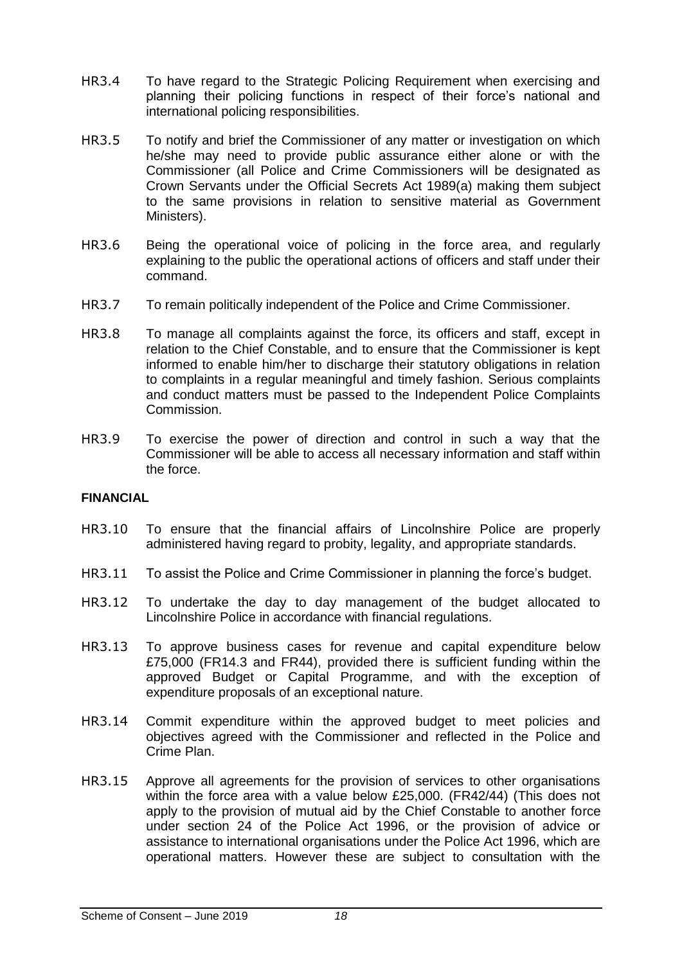- HR3.4 To have regard to the Strategic Policing Requirement when exercising and planning their policing functions in respect of their force's national and international policing responsibilities.
- HR3.5 To notify and brief the Commissioner of any matter or investigation on which he/she may need to provide public assurance either alone or with the Commissioner (all Police and Crime Commissioners will be designated as Crown Servants under the Official Secrets Act 1989(a) making them subject to the same provisions in relation to sensitive material as Government Ministers).
- HR3.6 Being the operational voice of policing in the force area, and regularly explaining to the public the operational actions of officers and staff under their command.
- HR3.7 To remain politically independent of the Police and Crime Commissioner.
- HR3.8 To manage all complaints against the force, its officers and staff, except in relation to the Chief Constable, and to ensure that the Commissioner is kept informed to enable him/her to discharge their statutory obligations in relation to complaints in a regular meaningful and timely fashion. Serious complaints and conduct matters must be passed to the Independent Police Complaints Commission.
- HR3.9 To exercise the power of direction and control in such a way that the Commissioner will be able to access all necessary information and staff within the force.

## <span id="page-17-0"></span>**FINANCIAL**

- HR3.10 To ensure that the financial affairs of Lincolnshire Police are properly administered having regard to probity, legality, and appropriate standards.
- HR3.11 To assist the Police and Crime Commissioner in planning the force's budget.
- HR3.12 To undertake the day to day management of the budget allocated to Lincolnshire Police in accordance with financial regulations.
- HR3.13 To approve business cases for revenue and capital expenditure below £75,000 (FR14.3 and FR44), provided there is sufficient funding within the approved Budget or Capital Programme, and with the exception of expenditure proposals of an exceptional nature.
- HR3.14 Commit expenditure within the approved budget to meet policies and objectives agreed with the Commissioner and reflected in the Police and Crime Plan.
- HR3.15 Approve all agreements for the provision of services to other organisations within the force area with a value below £25,000. (FR42/44) (This does not apply to the provision of mutual aid by the Chief Constable to another force under section 24 of the Police Act 1996, or the provision of advice or assistance to international organisations under the Police Act 1996, which are operational matters. However these are subject to consultation with the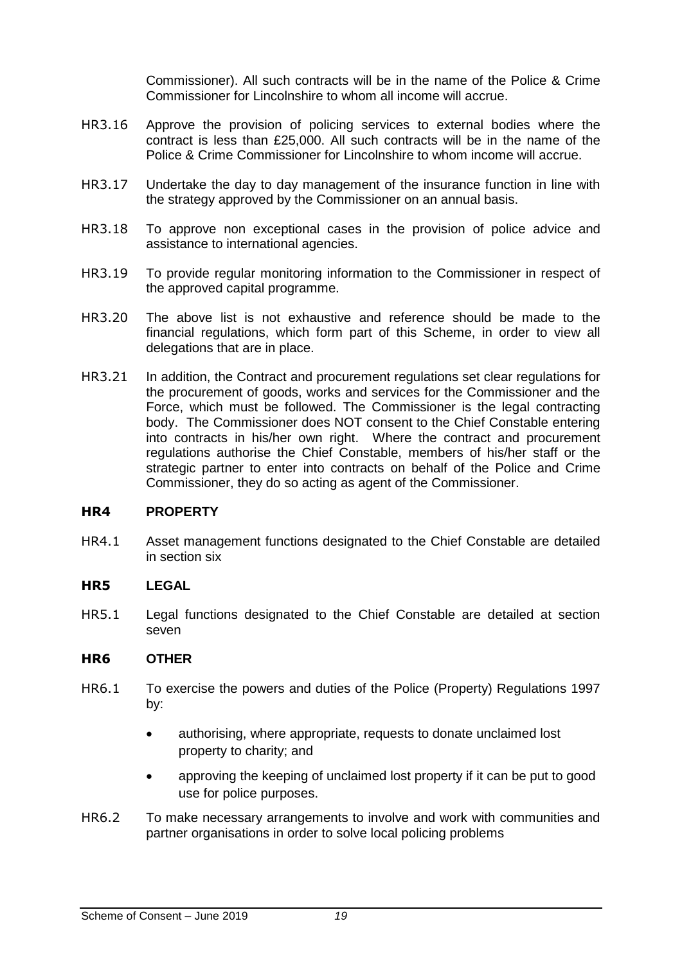Commissioner). All such contracts will be in the name of the Police & Crime Commissioner for Lincolnshire to whom all income will accrue.

- HR3.16 Approve the provision of policing services to external bodies where the contract is less than £25,000. All such contracts will be in the name of the Police & Crime Commissioner for Lincolnshire to whom income will accrue.
- HR3.17 Undertake the day to day management of the insurance function in line with the strategy approved by the Commissioner on an annual basis.
- HR3.18 To approve non exceptional cases in the provision of police advice and assistance to international agencies.
- HR3.19 To provide regular monitoring information to the Commissioner in respect of the approved capital programme.
- HR3.20 The above list is not exhaustive and reference should be made to the financial regulations, which form part of this Scheme, in order to view all delegations that are in place.
- HR3.21 In addition, the Contract and procurement regulations set clear regulations for the procurement of goods, works and services for the Commissioner and the Force, which must be followed. The Commissioner is the legal contracting body. The Commissioner does NOT consent to the Chief Constable entering into contracts in his/her own right. Where the contract and procurement regulations authorise the Chief Constable, members of his/her staff or the strategic partner to enter into contracts on behalf of the Police and Crime Commissioner, they do so acting as agent of the Commissioner.

#### <span id="page-18-0"></span>**HR4 PROPERTY**

HR4.1 Asset management functions designated to the Chief Constable are detailed in section six

#### <span id="page-18-1"></span>**HR5 LEGAL**

HR5.1 Legal functions designated to the Chief Constable are detailed at section seven

#### <span id="page-18-2"></span>**HR6 OTHER**

- HR6.1 To exercise the powers and duties of the Police (Property) Regulations 1997 by:
	- authorising, where appropriate, requests to donate unclaimed lost property to charity; and
	- approving the keeping of unclaimed lost property if it can be put to good use for police purposes.
- HR6.2 To make necessary arrangements to involve and work with communities and partner organisations in order to solve local policing problems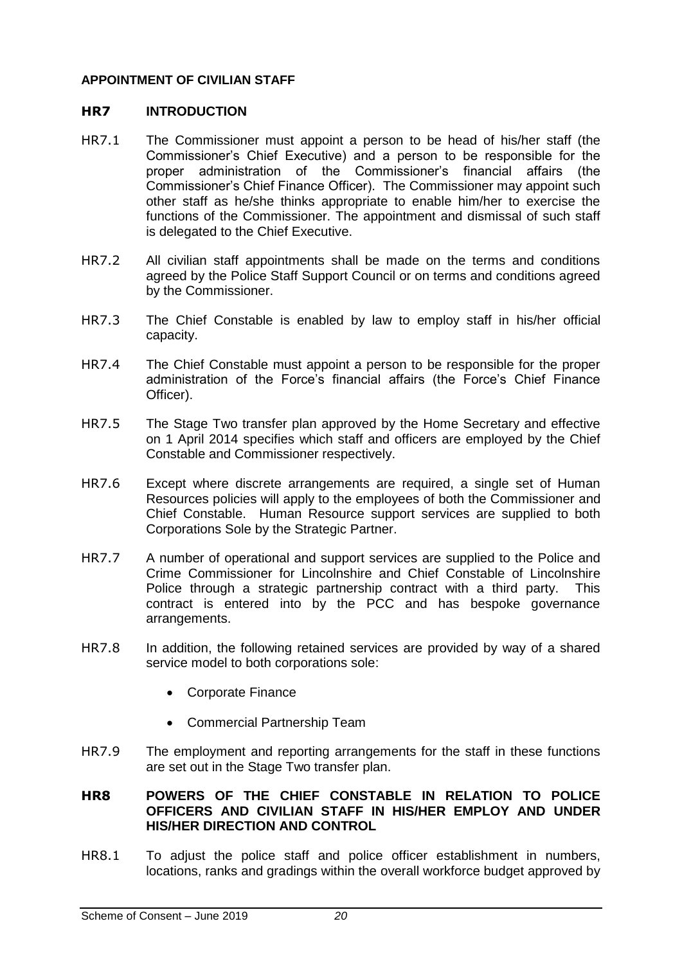#### <span id="page-19-0"></span>**APPOINTMENT OF CIVILIAN STAFF**

#### <span id="page-19-1"></span>**HR7 INTRODUCTION**

- HR7.1 The Commissioner must appoint a person to be head of his/her staff (the Commissioner's Chief Executive) and a person to be responsible for the proper administration of the Commissioner's financial affairs (the Commissioner's Chief Finance Officer). The Commissioner may appoint such other staff as he/she thinks appropriate to enable him/her to exercise the functions of the Commissioner. The appointment and dismissal of such staff is delegated to the Chief Executive.
- HR7.2 All civilian staff appointments shall be made on the terms and conditions agreed by the Police Staff Support Council or on terms and conditions agreed by the Commissioner.
- HR7.3 The Chief Constable is enabled by law to employ staff in his/her official capacity.
- HR7.4 The Chief Constable must appoint a person to be responsible for the proper administration of the Force's financial affairs (the Force's Chief Finance Officer).
- HR7.5 The Stage Two transfer plan approved by the Home Secretary and effective on 1 April 2014 specifies which staff and officers are employed by the Chief Constable and Commissioner respectively.
- HR7.6 Except where discrete arrangements are required, a single set of Human Resources policies will apply to the employees of both the Commissioner and Chief Constable. Human Resource support services are supplied to both Corporations Sole by the Strategic Partner.
- HR7.7 A number of operational and support services are supplied to the Police and Crime Commissioner for Lincolnshire and Chief Constable of Lincolnshire Police through a strategic partnership contract with a third party. This contract is entered into by the PCC and has bespoke governance arrangements.
- HR7.8 In addition, the following retained services are provided by way of a shared service model to both corporations sole:
	- Corporate Finance
	- Commercial Partnership Team
- HR7.9 The employment and reporting arrangements for the staff in these functions are set out in the Stage Two transfer plan.

#### <span id="page-19-2"></span>**HR8 POWERS OF THE CHIEF CONSTABLE IN RELATION TO POLICE OFFICERS AND CIVILIAN STAFF IN HIS/HER EMPLOY AND UNDER HIS/HER DIRECTION AND CONTROL**

HR8.1 To adjust the police staff and police officer establishment in numbers, locations, ranks and gradings within the overall workforce budget approved by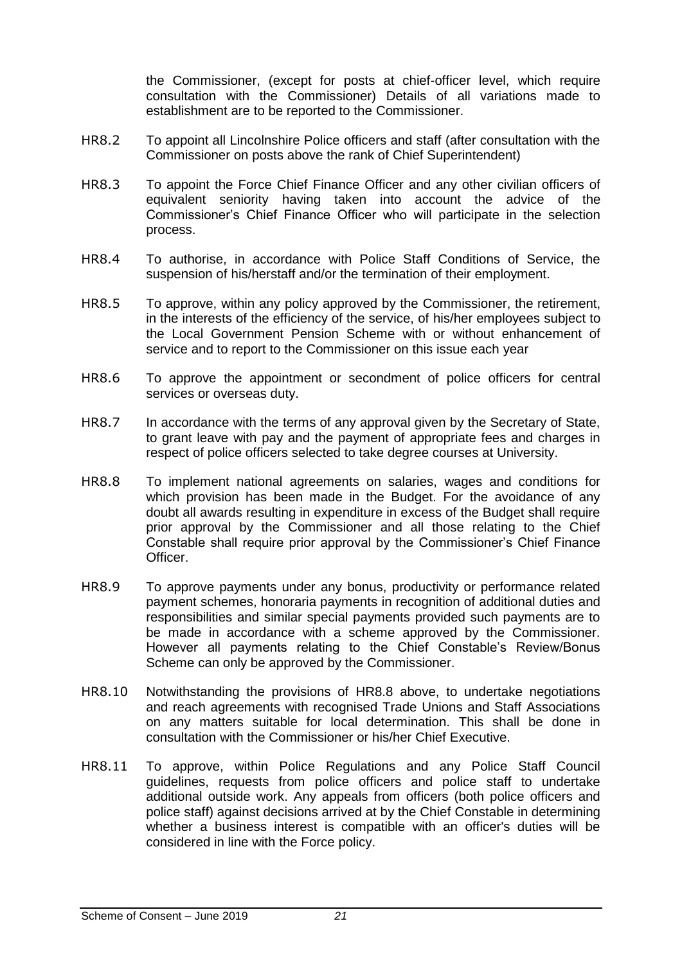the Commissioner, (except for posts at chief-officer level, which require consultation with the Commissioner) Details of all variations made to establishment are to be reported to the Commissioner.

- HR8.2 To appoint all Lincolnshire Police officers and staff (after consultation with the Commissioner on posts above the rank of Chief Superintendent)
- HR8.3 To appoint the Force Chief Finance Officer and any other civilian officers of equivalent seniority having taken into account the advice of the Commissioner's Chief Finance Officer who will participate in the selection process.
- HR8.4 To authorise, in accordance with Police Staff Conditions of Service, the suspension of his/herstaff and/or the termination of their employment.
- HR8.5 To approve, within any policy approved by the Commissioner, the retirement, in the interests of the efficiency of the service, of his/her employees subject to the Local Government Pension Scheme with or without enhancement of service and to report to the Commissioner on this issue each year
- HR8.6 To approve the appointment or secondment of police officers for central services or overseas duty.
- HR8.7 In accordance with the terms of any approval given by the Secretary of State, to grant leave with pay and the payment of appropriate fees and charges in respect of police officers selected to take degree courses at University.
- <span id="page-20-0"></span>HR8.8 To implement national agreements on salaries, wages and conditions for which provision has been made in the Budget. For the avoidance of any doubt all awards resulting in expenditure in excess of the Budget shall require prior approval by the Commissioner and all those relating to the Chief Constable shall require prior approval by the Commissioner's Chief Finance Officer.
- HR8.9 To approve payments under any bonus, productivity or performance related payment schemes, honoraria payments in recognition of additional duties and responsibilities and similar special payments provided such payments are to be made in accordance with a scheme approved by the Commissioner. However all payments relating to the Chief Constable's Review/Bonus Scheme can only be approved by the Commissioner.
- HR8.10 Notwithstanding the provisions of [HR8.8](#page-20-0) above, to undertake negotiations and reach agreements with recognised Trade Unions and Staff Associations on any matters suitable for local determination. This shall be done in consultation with the Commissioner or his/her Chief Executive.
- HR8.11 To approve, within Police Regulations and any Police Staff Council guidelines, requests from police officers and police staff to undertake additional outside work. Any appeals from officers (both police officers and police staff) against decisions arrived at by the Chief Constable in determining whether a business interest is compatible with an officer's duties will be considered in line with the Force policy.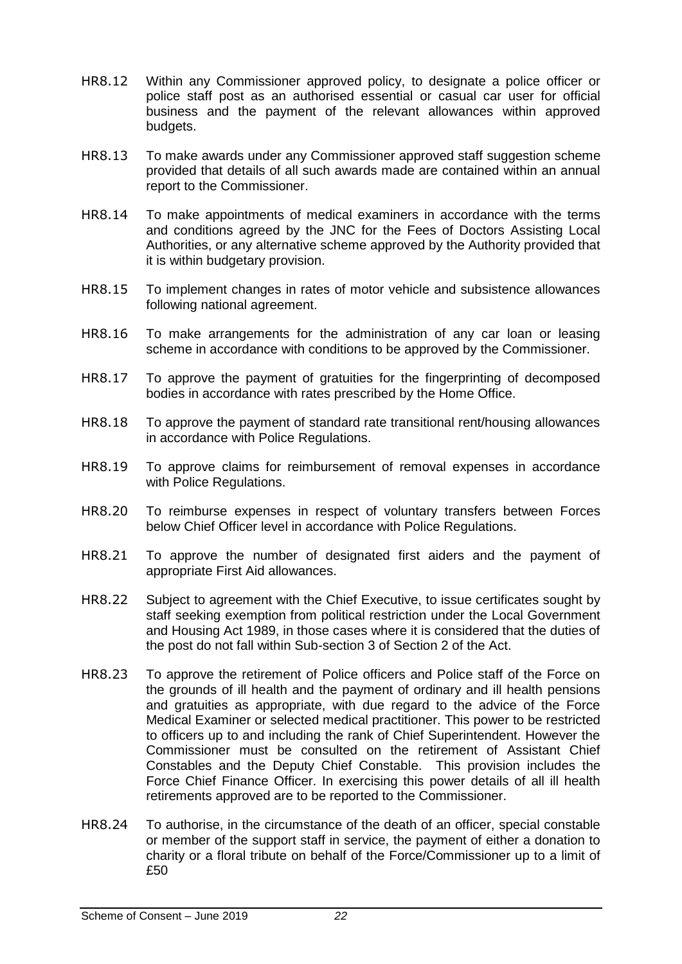- HR8.12 Within any Commissioner approved policy, to designate a police officer or police staff post as an authorised essential or casual car user for official business and the payment of the relevant allowances within approved budgets.
- HR8.13 To make awards under any Commissioner approved staff suggestion scheme provided that details of all such awards made are contained within an annual report to the Commissioner.
- HR8.14 To make appointments of medical examiners in accordance with the terms and conditions agreed by the JNC for the Fees of Doctors Assisting Local Authorities, or any alternative scheme approved by the Authority provided that it is within budgetary provision.
- HR8.15 To implement changes in rates of motor vehicle and subsistence allowances following national agreement.
- HR8.16 To make arrangements for the administration of any car loan or leasing scheme in accordance with conditions to be approved by the Commissioner.
- HR8.17 To approve the payment of gratuities for the fingerprinting of decomposed bodies in accordance with rates prescribed by the Home Office.
- HR8.18 To approve the payment of standard rate transitional rent/housing allowances in accordance with Police Regulations.
- HR8.19 To approve claims for reimbursement of removal expenses in accordance with Police Regulations.
- HR8.20 To reimburse expenses in respect of voluntary transfers between Forces below Chief Officer level in accordance with Police Regulations.
- HR8.21 To approve the number of designated first aiders and the payment of appropriate First Aid allowances.
- HR8.22 Subject to agreement with the Chief Executive, to issue certificates sought by staff seeking exemption from political restriction under the Local Government and Housing Act 1989, in those cases where it is considered that the duties of the post do not fall within Sub-section 3 of Section 2 of the Act.
- HR8.23 To approve the retirement of Police officers and Police staff of the Force on the grounds of ill health and the payment of ordinary and ill health pensions and gratuities as appropriate, with due regard to the advice of the Force Medical Examiner or selected medical practitioner. This power to be restricted to officers up to and including the rank of Chief Superintendent. However the Commissioner must be consulted on the retirement of Assistant Chief Constables and the Deputy Chief Constable. This provision includes the Force Chief Finance Officer. In exercising this power details of all ill health retirements approved are to be reported to the Commissioner.
- HR8.24 To authorise, in the circumstance of the death of an officer, special constable or member of the support staff in service, the payment of either a donation to charity or a floral tribute on behalf of the Force/Commissioner up to a limit of £50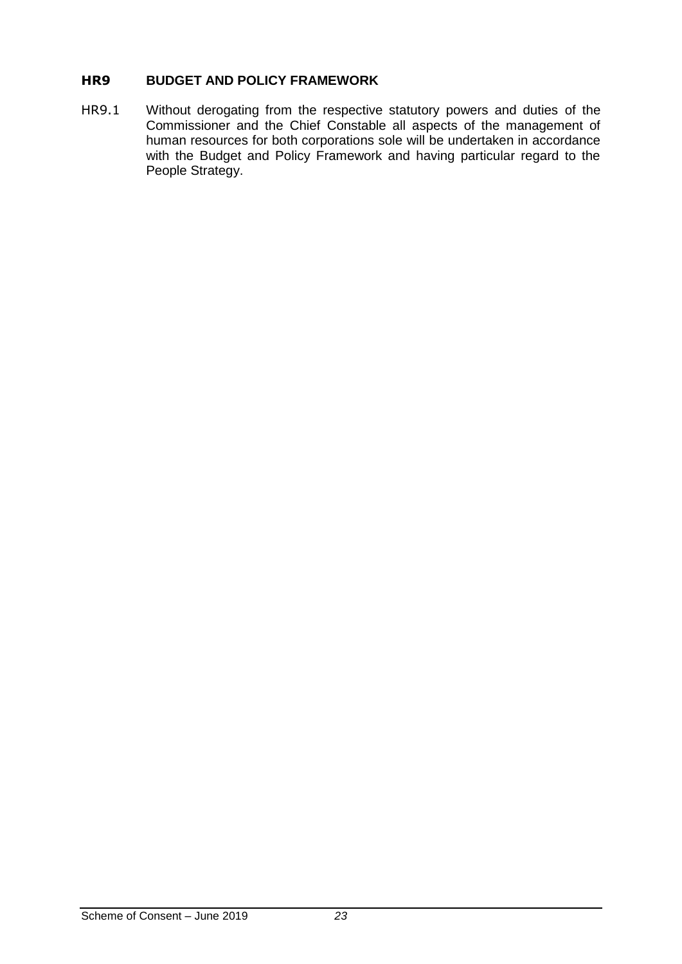## <span id="page-22-0"></span>**HR9 BUDGET AND POLICY FRAMEWORK**

HR9.1 Without derogating from the respective statutory powers and duties of the Commissioner and the Chief Constable all aspects of the management of human resources for both corporations sole will be undertaken in accordance with the Budget and Policy Framework and having particular regard to the People Strategy.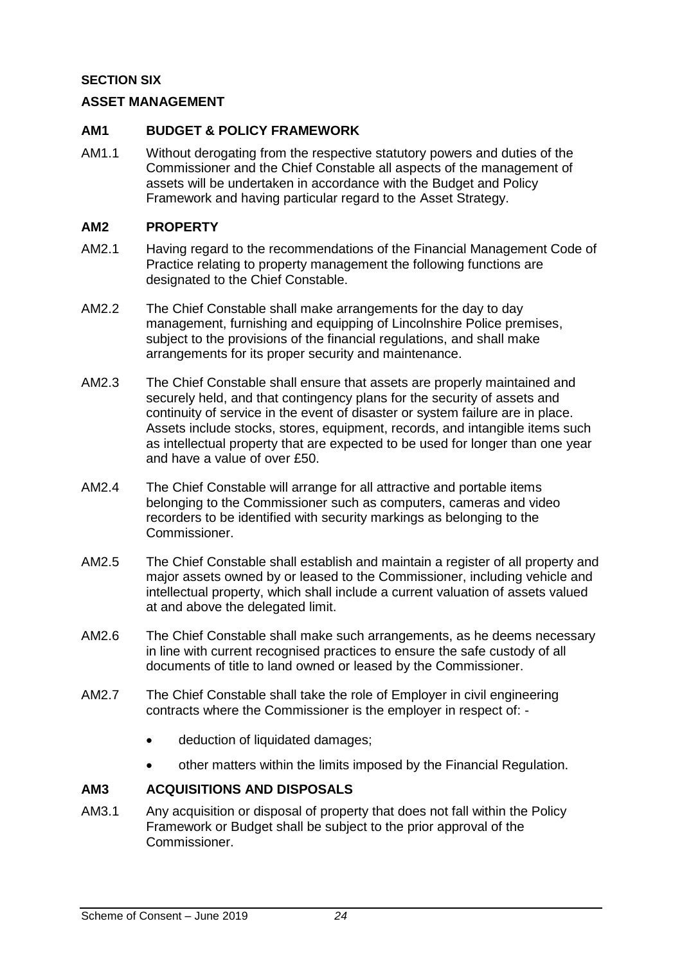## <span id="page-23-0"></span>**SECTION SIX**

## <span id="page-23-1"></span>**ASSET MANAGEMENT**

#### <span id="page-23-2"></span>**AM1 BUDGET & POLICY FRAMEWORK**

AM1.1 Without derogating from the respective statutory powers and duties of the Commissioner and the Chief Constable all aspects of the management of assets will be undertaken in accordance with the Budget and Policy Framework and having particular regard to the Asset Strategy.

#### <span id="page-23-3"></span>**AM2 PROPERTY**

- AM2.1 Having regard to the recommendations of the Financial Management Code of Practice relating to property management the following functions are designated to the Chief Constable.
- AM2.2 The Chief Constable shall make arrangements for the day to day management, furnishing and equipping of Lincolnshire Police premises, subject to the provisions of the financial regulations, and shall make arrangements for its proper security and maintenance.
- AM2.3 The Chief Constable shall ensure that assets are properly maintained and securely held, and that contingency plans for the security of assets and continuity of service in the event of disaster or system failure are in place. Assets include stocks, stores, equipment, records, and intangible items such as intellectual property that are expected to be used for longer than one year and have a value of over £50.
- AM2.4 The Chief Constable will arrange for all attractive and portable items belonging to the Commissioner such as computers, cameras and video recorders to be identified with security markings as belonging to the Commissioner.
- AM2.5 The Chief Constable shall establish and maintain a register of all property and major assets owned by or leased to the Commissioner, including vehicle and intellectual property, which shall include a current valuation of assets valued at and above the delegated limit.
- AM2.6 The Chief Constable shall make such arrangements, as he deems necessary in line with current recognised practices to ensure the safe custody of all documents of title to land owned or leased by the Commissioner.
- AM2.7 The Chief Constable shall take the role of Employer in civil engineering contracts where the Commissioner is the employer in respect of:
	- deduction of liquidated damages:
	- other matters within the limits imposed by the Financial Regulation.

## <span id="page-23-4"></span>**AM3 ACQUISITIONS AND DISPOSALS**

AM3.1 Any acquisition or disposal of property that does not fall within the Policy Framework or Budget shall be subject to the prior approval of the Commissioner.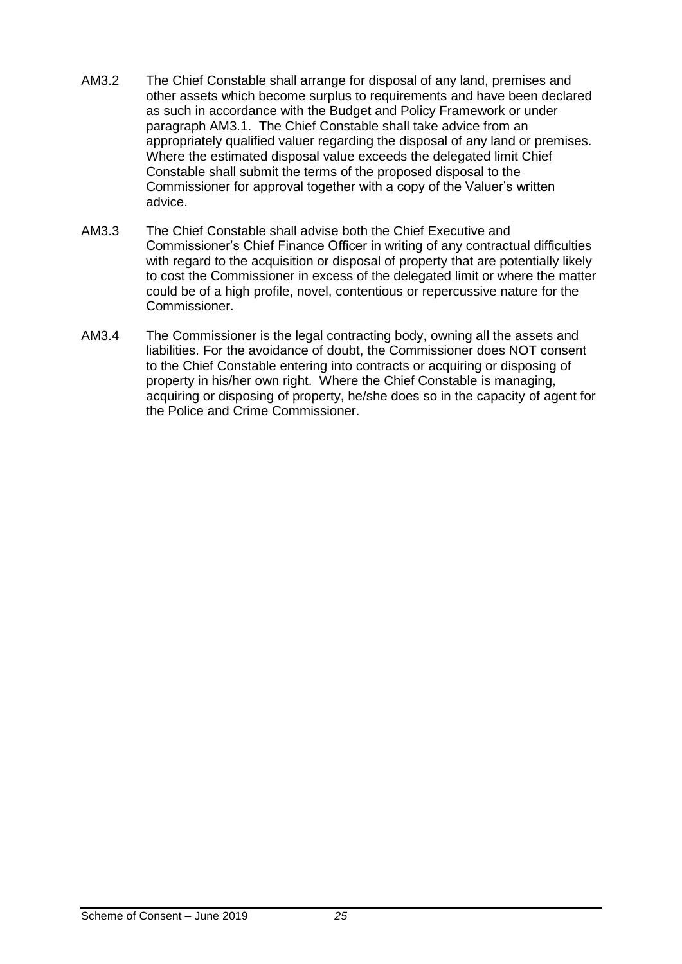- AM3.2 The Chief Constable shall arrange for disposal of any land, premises and other assets which become surplus to requirements and have been declared as such in accordance with the Budget and Policy Framework or under paragraph AM3.1. The Chief Constable shall take advice from an appropriately qualified valuer regarding the disposal of any land or premises. Where the estimated disposal value exceeds the delegated limit Chief Constable shall submit the terms of the proposed disposal to the Commissioner for approval together with a copy of the Valuer's written advice.
- AM3.3 The Chief Constable shall advise both the Chief Executive and Commissioner's Chief Finance Officer in writing of any contractual difficulties with regard to the acquisition or disposal of property that are potentially likely to cost the Commissioner in excess of the delegated limit or where the matter could be of a high profile, novel, contentious or repercussive nature for the Commissioner.
- AM3.4 The Commissioner is the legal contracting body, owning all the assets and liabilities. For the avoidance of doubt, the Commissioner does NOT consent to the Chief Constable entering into contracts or acquiring or disposing of property in his/her own right. Where the Chief Constable is managing, acquiring or disposing of property, he/she does so in the capacity of agent for the Police and Crime Commissioner.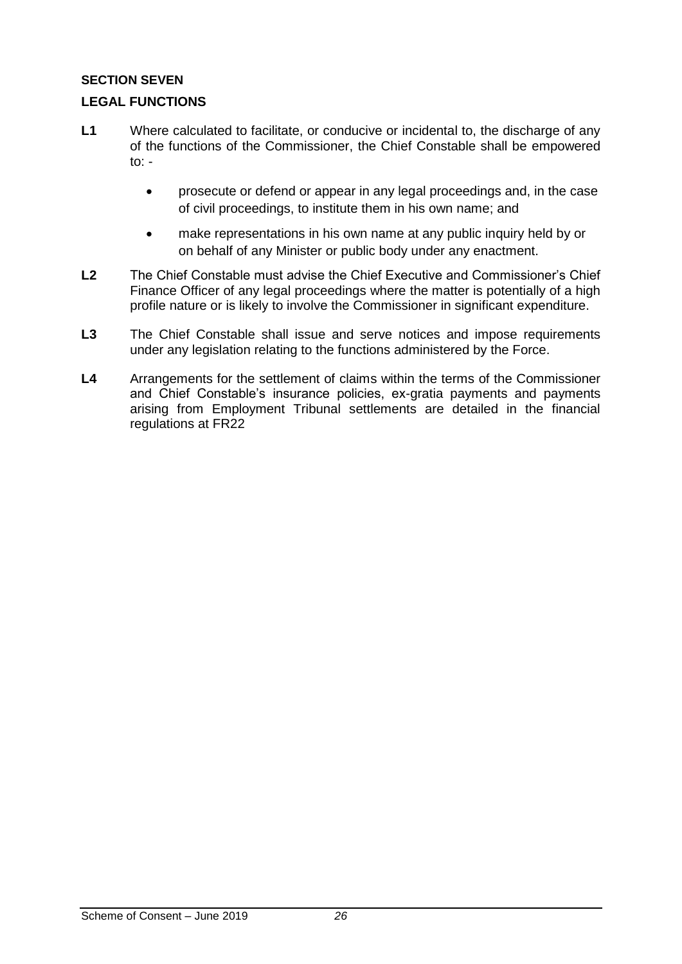## <span id="page-25-0"></span>**SECTION SEVEN**

## <span id="page-25-1"></span>**LEGAL FUNCTIONS**

- L1 Where calculated to facilitate, or conducive or incidental to, the discharge of any of the functions of the Commissioner, the Chief Constable shall be empowered to:  $$ 
	- prosecute or defend or appear in any legal proceedings and, in the case of civil proceedings, to institute them in his own name; and
	- make representations in his own name at any public inquiry held by or on behalf of any Minister or public body under any enactment.
- **L2** The Chief Constable must advise the Chief Executive and Commissioner's Chief Finance Officer of any legal proceedings where the matter is potentially of a high profile nature or is likely to involve the Commissioner in significant expenditure.
- **L3** The Chief Constable shall issue and serve notices and impose requirements under any legislation relating to the functions administered by the Force.
- **L4** Arrangements for the settlement of claims within the terms of the Commissioner and Chief Constable's insurance policies, ex-gratia payments and payments arising from Employment Tribunal settlements are detailed in the financial regulations at FR22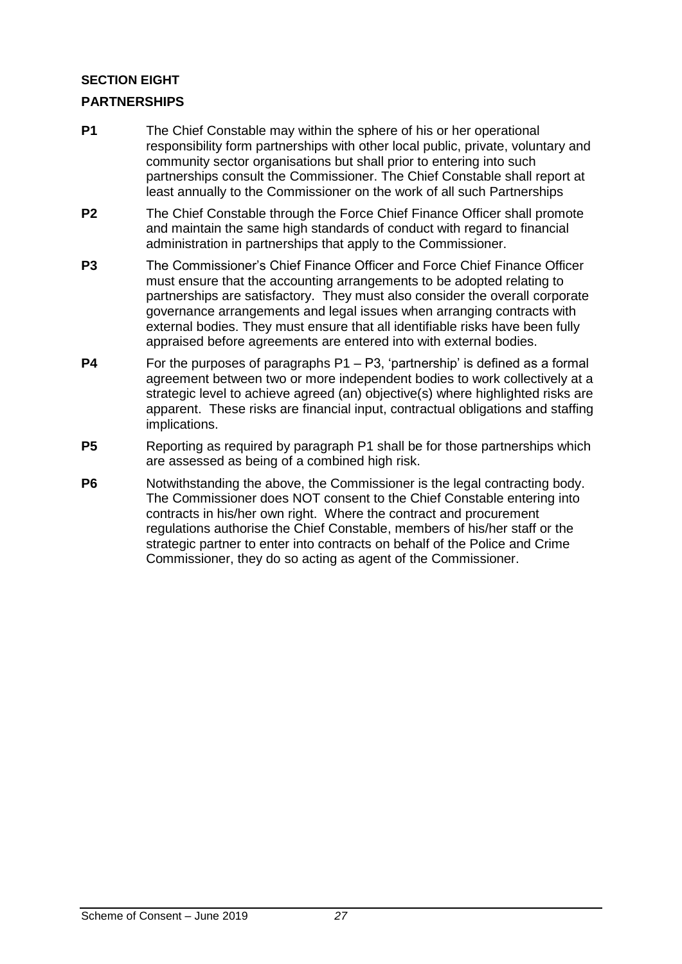## <span id="page-26-0"></span>**SECTION EIGHT**

## <span id="page-26-1"></span>**PARTNERSHIPS**

- **P1** The Chief Constable may within the sphere of his or her operational responsibility form partnerships with other local public, private, voluntary and community sector organisations but shall prior to entering into such partnerships consult the Commissioner. The Chief Constable shall report at least annually to the Commissioner on the work of all such Partnerships
- **P2** The Chief Constable through the Force Chief Finance Officer shall promote and maintain the same high standards of conduct with regard to financial administration in partnerships that apply to the Commissioner.
- **P3** The Commissioner's Chief Finance Officer and Force Chief Finance Officer must ensure that the accounting arrangements to be adopted relating to partnerships are satisfactory. They must also consider the overall corporate governance arrangements and legal issues when arranging contracts with external bodies. They must ensure that all identifiable risks have been fully appraised before agreements are entered into with external bodies.
- **P4** For the purposes of paragraphs P1 P3, 'partnership' is defined as a formal agreement between two or more independent bodies to work collectively at a strategic level to achieve agreed (an) objective(s) where highlighted risks are apparent. These risks are financial input, contractual obligations and staffing implications.
- **P5** Reporting as required by paragraph P1 shall be for those partnerships which are assessed as being of a combined high risk.
- **P6** Notwithstanding the above, the Commissioner is the legal contracting body. The Commissioner does NOT consent to the Chief Constable entering into contracts in his/her own right. Where the contract and procurement regulations authorise the Chief Constable, members of his/her staff or the strategic partner to enter into contracts on behalf of the Police and Crime Commissioner, they do so acting as agent of the Commissioner.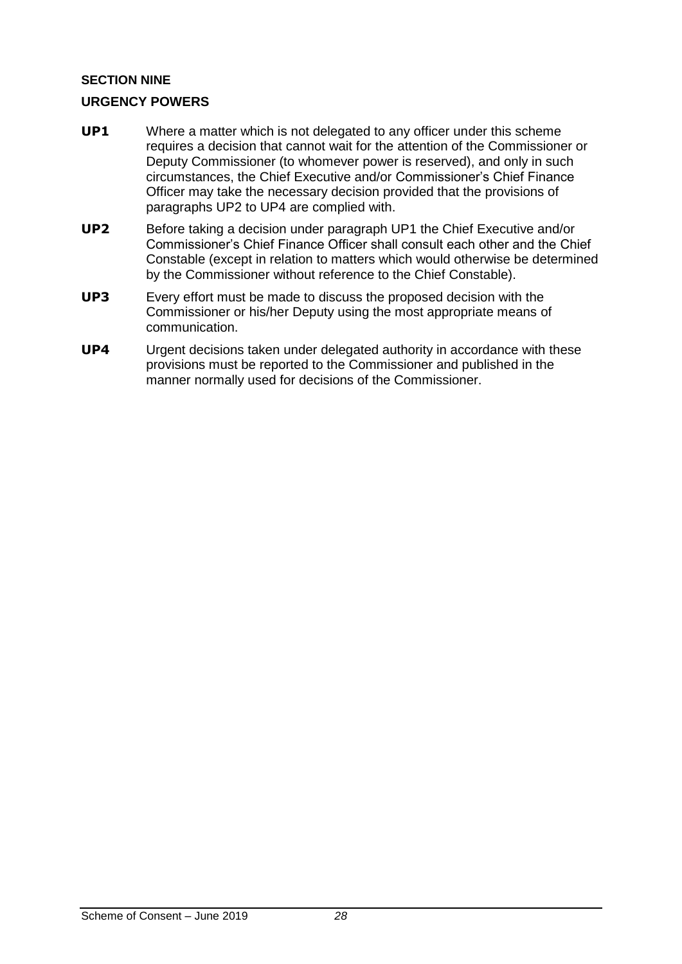## <span id="page-27-0"></span>**SECTION NINE**

## <span id="page-27-1"></span>**URGENCY POWERS**

- **UP1** Where a matter which is not delegated to any officer under this scheme requires a decision that cannot wait for the attention of the Commissioner or Deputy Commissioner (to whomever power is reserved), and only in such circumstances, the Chief Executive and/or Commissioner's Chief Finance Officer may take the necessary decision provided that the provisions of paragraphs UP2 to UP4 are complied with.
- **UP2** Before taking a decision under paragraph UP1 the Chief Executive and/or Commissioner's Chief Finance Officer shall consult each other and the Chief Constable (except in relation to matters which would otherwise be determined by the Commissioner without reference to the Chief Constable).
- **UP3** Every effort must be made to discuss the proposed decision with the Commissioner or his/her Deputy using the most appropriate means of communication.
- **UP4** Urgent decisions taken under delegated authority in accordance with these provisions must be reported to the Commissioner and published in the manner normally used for decisions of the Commissioner.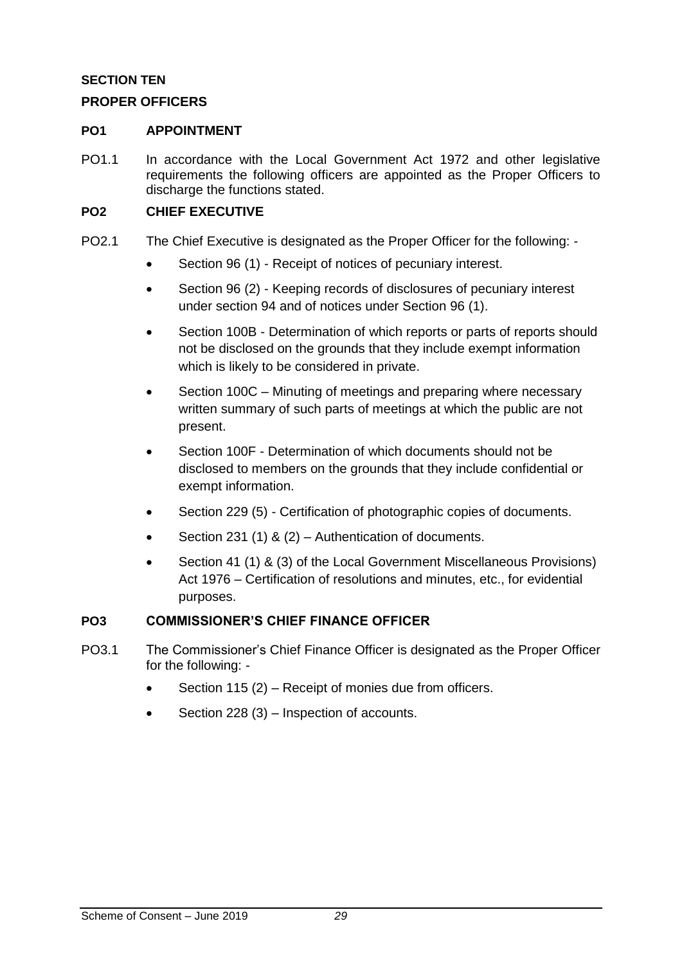## <span id="page-28-0"></span>**SECTION TEN**

## <span id="page-28-1"></span>**PROPER OFFICERS**

#### <span id="page-28-2"></span>**PO1 APPOINTMENT**

PO1.1 In accordance with the Local Government Act 1972 and other legislative requirements the following officers are appointed as the Proper Officers to discharge the functions stated.

#### <span id="page-28-3"></span>**PO2 CHIEF EXECUTIVE**

- PO2.1 The Chief Executive is designated as the Proper Officer for the following:
	- Section 96 (1) Receipt of notices of pecuniary interest.
	- Section 96 (2) Keeping records of disclosures of pecuniary interest under section 94 and of notices under Section 96 (1).
	- Section 100B Determination of which reports or parts of reports should not be disclosed on the grounds that they include exempt information which is likely to be considered in private.
	- Section 100C Minuting of meetings and preparing where necessary written summary of such parts of meetings at which the public are not present.
	- Section 100F Determination of which documents should not be disclosed to members on the grounds that they include confidential or exempt information.
	- Section 229 (5) Certification of photographic copies of documents.
	- Section 231 (1) & (2) Authentication of documents.
	- Section 41 (1) & (3) of the Local Government Miscellaneous Provisions) Act 1976 – Certification of resolutions and minutes, etc., for evidential purposes.

## <span id="page-28-4"></span>**PO3 COMMISSIONER'S CHIEF FINANCE OFFICER**

- PO3.1 The Commissioner's Chief Finance Officer is designated as the Proper Officer for the following: -
	- Section 115 (2) Receipt of monies due from officers.
	- Section 228 (3) Inspection of accounts.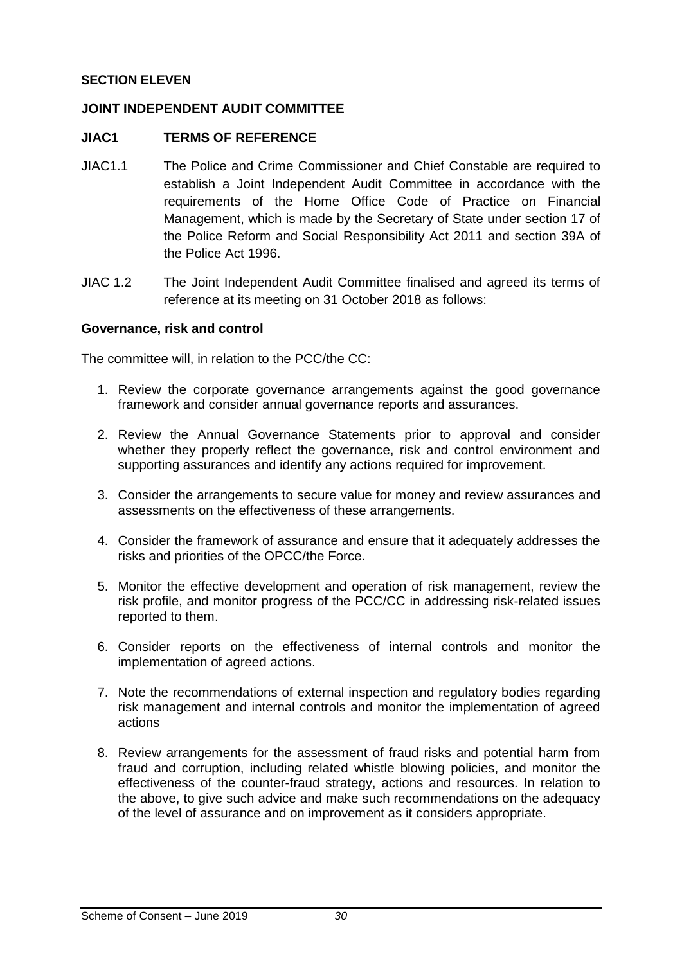## **SECTION ELEVEN**

#### **JOINT INDEPENDENT AUDIT COMMITTEE**

#### **JIAC1 TERMS OF REFERENCE**

- JIAC1.1 The Police and Crime Commissioner and Chief Constable are required to establish a Joint Independent Audit Committee in accordance with the requirements of the Home Office Code of Practice on Financial Management, which is made by the Secretary of State under section 17 of the Police Reform and Social Responsibility Act 2011 and section 39A of the Police Act 1996.
- JIAC 1.2 The Joint Independent Audit Committee finalised and agreed its terms of reference at its meeting on 31 October 2018 as follows:

#### **Governance, risk and control**

The committee will, in relation to the PCC/the CC:

- 1. Review the corporate governance arrangements against the good governance framework and consider annual governance reports and assurances.
- 2. Review the Annual Governance Statements prior to approval and consider whether they properly reflect the governance, risk and control environment and supporting assurances and identify any actions required for improvement.
- 3. Consider the arrangements to secure value for money and review assurances and assessments on the effectiveness of these arrangements.
- 4. Consider the framework of assurance and ensure that it adequately addresses the risks and priorities of the OPCC/the Force.
- 5. Monitor the effective development and operation of risk management, review the risk profile, and monitor progress of the PCC/CC in addressing risk-related issues reported to them.
- 6. Consider reports on the effectiveness of internal controls and monitor the implementation of agreed actions.
- 7. Note the recommendations of external inspection and regulatory bodies regarding risk management and internal controls and monitor the implementation of agreed actions
- 8. Review arrangements for the assessment of fraud risks and potential harm from fraud and corruption, including related whistle blowing policies, and monitor the effectiveness of the counter-fraud strategy, actions and resources. In relation to the above, to give such advice and make such recommendations on the adequacy of the level of assurance and on improvement as it considers appropriate.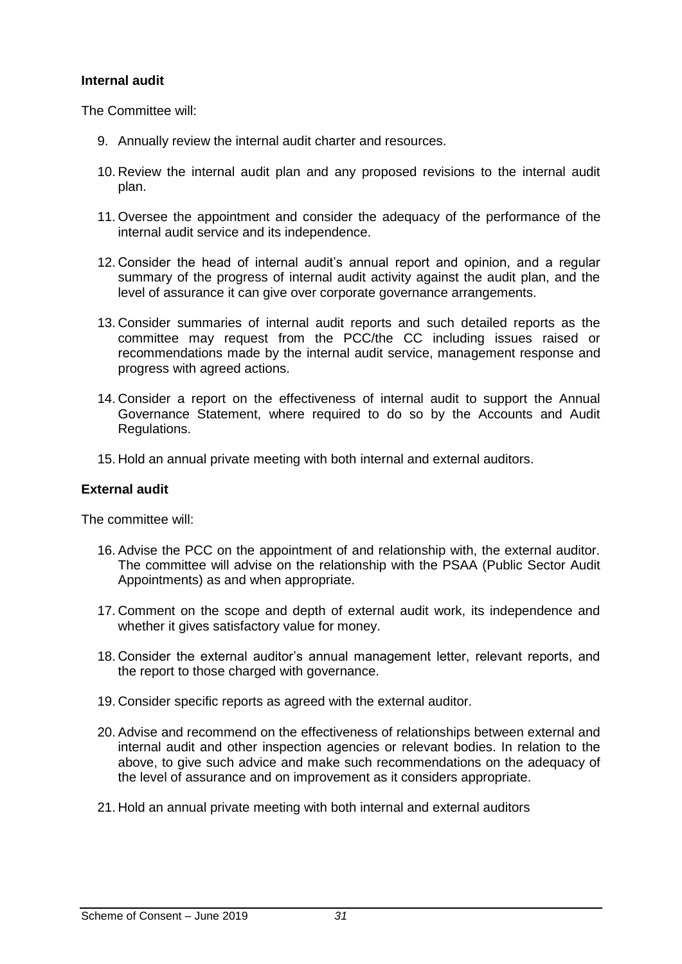#### **Internal audit**

The Committee will:

- 9. Annually review the internal audit charter and resources.
- 10. Review the internal audit plan and any proposed revisions to the internal audit plan.
- 11. Oversee the appointment and consider the adequacy of the performance of the internal audit service and its independence.
- 12. Consider the head of internal audit's annual report and opinion, and a regular summary of the progress of internal audit activity against the audit plan, and the level of assurance it can give over corporate governance arrangements.
- 13. Consider summaries of internal audit reports and such detailed reports as the committee may request from the PCC/the CC including issues raised or recommendations made by the internal audit service, management response and progress with agreed actions.
- 14. Consider a report on the effectiveness of internal audit to support the Annual Governance Statement, where required to do so by the Accounts and Audit Regulations.
- 15. Hold an annual private meeting with both internal and external auditors.

#### **External audit**

The committee will:

- 16. Advise the PCC on the appointment of and relationship with, the external auditor. The committee will advise on the relationship with the PSAA (Public Sector Audit Appointments) as and when appropriate.
- 17. Comment on the scope and depth of external audit work, its independence and whether it gives satisfactory value for money.
- 18. Consider the external auditor's annual management letter, relevant reports, and the report to those charged with governance.
- 19. Consider specific reports as agreed with the external auditor.
- 20. Advise and recommend on the effectiveness of relationships between external and internal audit and other inspection agencies or relevant bodies. In relation to the above, to give such advice and make such recommendations on the adequacy of the level of assurance and on improvement as it considers appropriate.
- 21. Hold an annual private meeting with both internal and external auditors